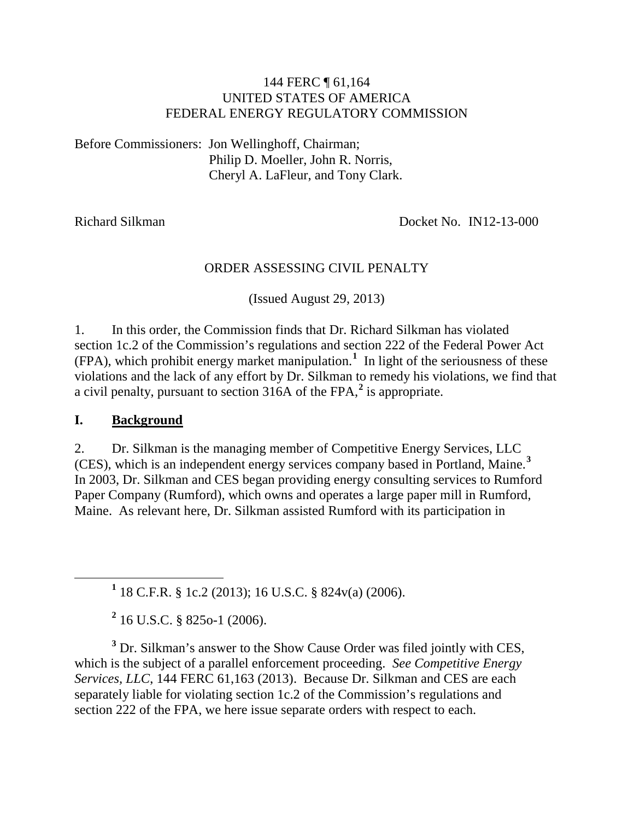#### 144 FERC ¶ 61,164 UNITED STATES OF AMERICA FEDERAL ENERGY REGULATORY COMMISSION

Before Commissioners: Jon Wellinghoff, Chairman; Philip D. Moeller, John R. Norris, Cheryl A. LaFleur, and Tony Clark.

Richard Silkman Docket No. IN12-13-000

#### ORDER ASSESSING CIVIL PENALTY

(Issued August 29, 2013)

1. In this order, the Commission finds that Dr. Richard Silkman has violated section 1c.2 of the Commission's regulations and section 222 of the Federal Power Act (FPA), which prohibit energy market manipulation.**[1](#page-0-0)** In light of the seriousness of these violations and the lack of any effort by Dr. Silkman to remedy his violations, we find that a civil penalty, pursuant to section 316A of the FPA,**[2](#page-0-1)** is appropriate.

#### **I. Background**

2. Dr. Silkman is the managing member of Competitive Energy Services, LLC (CES), which is an independent energy services company based in Portland, Maine. **[3](#page-0-2)** In 2003, Dr. Silkman and CES began providing energy consulting services to Rumford Paper Company (Rumford), which owns and operates a large paper mill in Rumford, Maine. As relevant here, Dr. Silkman assisted Rumford with its participation in

**<sup>1</sup>** <sup>18</sup> C.F.R. § 1c.2 (2013); 16 U.S.C. § 824v(a) (2006).

**<sup>2</sup>** 16 U.S.C. § 825o-1 (2006).

<span id="page-0-2"></span><span id="page-0-1"></span><span id="page-0-0"></span>**<sup>3</sup>** Dr. Silkman's answer to the Show Cause Order was filed jointly with CES, which is the subject of a parallel enforcement proceeding. *See Competitive Energy Services, LLC*, 144 FERC 61,163 (2013). Because Dr. Silkman and CES are each separately liable for violating section 1c.2 of the Commission's regulations and section 222 of the FPA, we here issue separate orders with respect to each.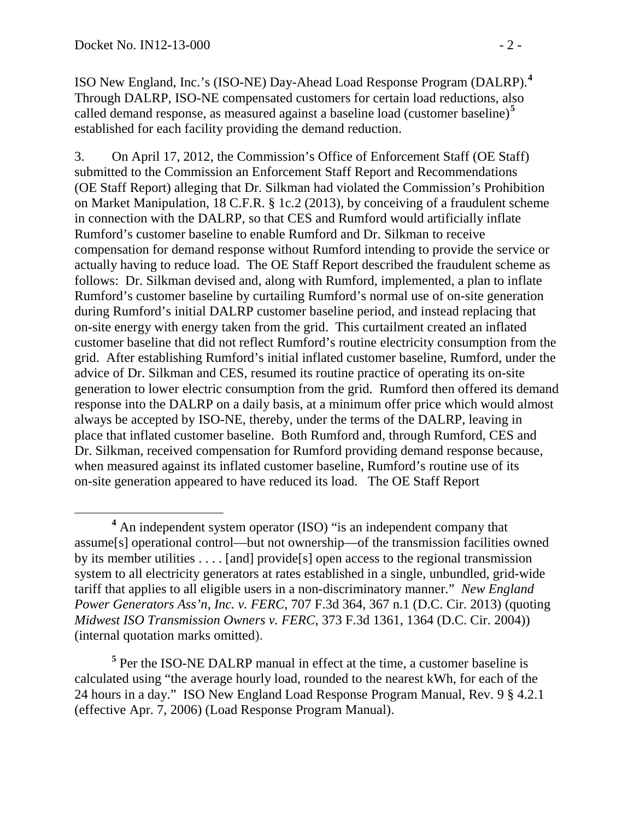ISO New England, Inc.'s (ISO-NE) Day-Ahead Load Response Program (DALRP). **[4](#page-1-0)** Through DALRP, ISO-NE compensated customers for certain load reductions, also called demand response, as measured against a baseline load (customer baseline)<sup>[5](#page-1-1)</sup> established for each facility providing the demand reduction.

3. On April 17, 2012, the Commission's Office of Enforcement Staff (OE Staff) submitted to the Commission an Enforcement Staff Report and Recommendations (OE Staff Report) alleging that Dr. Silkman had violated the Commission's Prohibition on Market Manipulation, 18 C.F.R. § 1c.2 (2013), by conceiving of a fraudulent scheme in connection with the DALRP, so that CES and Rumford would artificially inflate Rumford's customer baseline to enable Rumford and Dr. Silkman to receive compensation for demand response without Rumford intending to provide the service or actually having to reduce load. The OE Staff Report described the fraudulent scheme as follows: Dr. Silkman devised and, along with Rumford, implemented, a plan to inflate Rumford's customer baseline by curtailing Rumford's normal use of on-site generation during Rumford's initial DALRP customer baseline period, and instead replacing that on-site energy with energy taken from the grid. This curtailment created an inflated customer baseline that did not reflect Rumford's routine electricity consumption from the grid. After establishing Rumford's initial inflated customer baseline, Rumford, under the advice of Dr. Silkman and CES, resumed its routine practice of operating its on-site generation to lower electric consumption from the grid. Rumford then offered its demand response into the DALRP on a daily basis, at a minimum offer price which would almost always be accepted by ISO-NE, thereby, under the terms of the DALRP, leaving in place that inflated customer baseline. Both Rumford and, through Rumford, CES and Dr. Silkman, received compensation for Rumford providing demand response because, when measured against its inflated customer baseline, Rumford's routine use of its on-site generation appeared to have reduced its load. The OE Staff Report

<span id="page-1-0"></span>**<sup>4</sup>** An independent system operator (ISO) "is an independent company that assume[s] operational control—but not ownership—of the transmission facilities owned by its member utilities . . . . [and] provide[s] open access to the regional transmission system to all electricity generators at rates established in a single, unbundled, grid-wide tariff that applies to all eligible users in a non-discriminatory manner." *New England Power Generators Ass'n, Inc. v. FERC*, 707 F.3d 364, 367 n.1 (D.C. Cir. 2013) (quoting *Midwest ISO Transmission Owners v. FERC*, 373 F.3d 1361, 1364 (D.C. Cir. 2004)) (internal quotation marks omitted).

<span id="page-1-1"></span>**<sup>5</sup>** Per the ISO-NE DALRP manual in effect at the time, a customer baseline is calculated using "the average hourly load, rounded to the nearest kWh, for each of the 24 hours in a day." ISO New England Load Response Program Manual, Rev. 9 § 4.2.1 (effective Apr. 7, 2006) (Load Response Program Manual).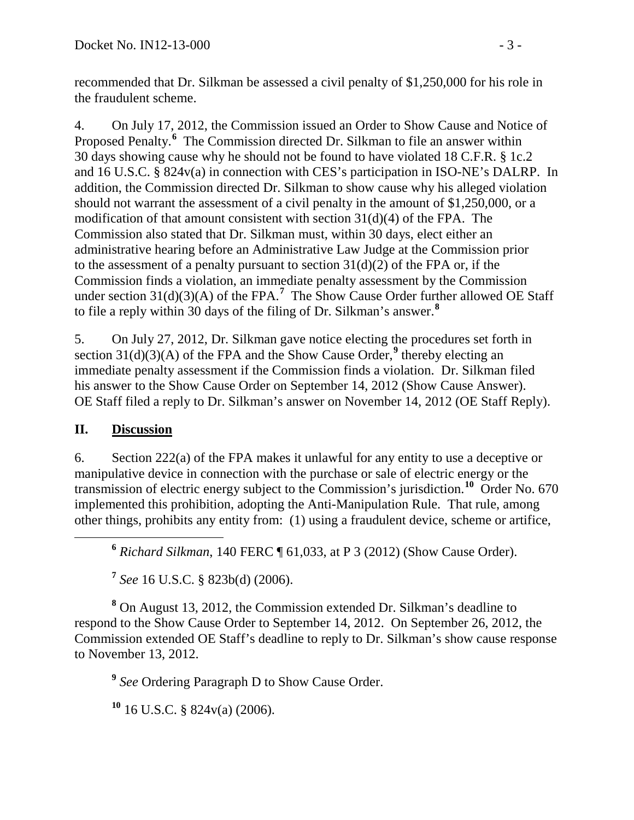recommended that Dr. Silkman be assessed a civil penalty of \$1,250,000 for his role in the fraudulent scheme.

4. On July 17, 2012, the Commission issued an Order to Show Cause and Notice of Proposed Penalty.**[6](#page-2-0)** The Commission directed Dr. Silkman to file an answer within 30 days showing cause why he should not be found to have violated 18 C.F.R. § 1c.2 and 16 U.S.C. § 824v(a) in connection with CES's participation in ISO-NE's DALRP. In addition, the Commission directed Dr. Silkman to show cause why his alleged violation should not warrant the assessment of a civil penalty in the amount of \$1,250,000, or a modification of that amount consistent with section  $31(d)(4)$  of the FPA. The Commission also stated that Dr. Silkman must, within 30 days, elect either an administrative hearing before an Administrative Law Judge at the Commission prior to the assessment of a penalty pursuant to section  $31(d)(2)$  of the FPA or, if the Commission finds a violation, an immediate penalty assessment by the Commission under section  $31(d)(3)(A)$  of the FPA.<sup>[7](#page-2-1)</sup> The Show Cause Order further allowed OE Staff to file a reply within 30 days of the filing of Dr. Silkman's answer.**[8](#page-2-2)**

5. On July 27, 2012, Dr. Silkman gave notice electing the procedures set forth in section  $31(d)(3)(A)$  of the FPA and the Show Cause Order,<sup>[9](#page-2-3)</sup> thereby electing an immediate penalty assessment if the Commission finds a violation. Dr. Silkman filed his answer to the Show Cause Order on September 14, 2012 (Show Cause Answer). OE Staff filed a reply to Dr. Silkman's answer on November 14, 2012 (OE Staff Reply).

## **II. Discussion**

6. Section 222(a) of the FPA makes it unlawful for any entity to use a deceptive or manipulative device in connection with the purchase or sale of electric energy or the transmission of electric energy subject to the Commission's jurisdiction.**[10](#page-2-4)** Order No. 670 implemented this prohibition, adopting the Anti-Manipulation Rule. That rule, among other things, prohibits any entity from: (1) using a fraudulent device, scheme or artifice,

**<sup>6</sup>** *Richard Silkman*, 140 FERC ¶ 61,033, at P 3 (2012) (Show Cause Order).

**<sup>7</sup>** *See* 16 U.S.C. § 823b(d) (2006).

<span id="page-2-3"></span><span id="page-2-2"></span><span id="page-2-1"></span><span id="page-2-0"></span>**<sup>8</sup>** On August 13, 2012, the Commission extended Dr. Silkman's deadline to respond to the Show Cause Order to September 14, 2012. On September 26, 2012, the Commission extended OE Staff's deadline to reply to Dr. Silkman's show cause response to November 13, 2012.

**<sup>9</sup>** *See* Ordering Paragraph D to Show Cause Order.

<span id="page-2-4"></span>**<sup>10</sup>** 16 U.S.C. § 824v(a) (2006).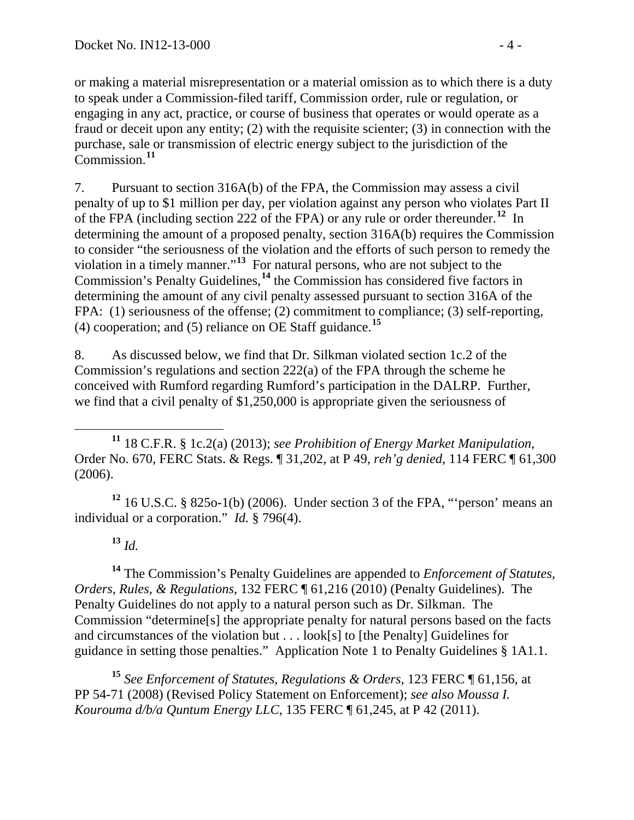or making a material misrepresentation or a material omission as to which there is a duty to speak under a Commission-filed tariff, Commission order, rule or regulation, or engaging in any act, practice, or course of business that operates or would operate as a fraud or deceit upon any entity; (2) with the requisite scienter; (3) in connection with the purchase, sale or transmission of electric energy subject to the jurisdiction of the Commission.**[11](#page-3-0)**

7. Pursuant to section 316A(b) of the FPA, the Commission may assess a civil penalty of up to \$1 million per day, per violation against any person who violates Part II of the FPA (including section 222 of the FPA) or any rule or order thereunder.**[12](#page-3-1)** In determining the amount of a proposed penalty, section 316A(b) requires the Commission to consider "the seriousness of the violation and the efforts of such person to remedy the violation in a timely manner."**[13](#page-3-2)** For natural persons, who are not subject to the Commission's Penalty Guidelines, **[14](#page-3-3)** the Commission has considered five factors in determining the amount of any civil penalty assessed pursuant to section 316A of the FPA: (1) seriousness of the offense; (2) commitment to compliance; (3) self-reporting, (4) cooperation; and (5) reliance on OE Staff guidance.**[15](#page-3-4)**

<span id="page-3-6"></span><span id="page-3-5"></span>8. As discussed below, we find that Dr. Silkman violated section 1c.2 of the Commission's regulations and section 222(a) of the FPA through the scheme he conceived with Rumford regarding Rumford's participation in the DALRP. Further, we find that a civil penalty of \$1,250,000 is appropriate given the seriousness of

<span id="page-3-1"></span>**<sup>12</sup>** 16 U.S.C. § 825o-1(b) (2006). Under section 3 of the FPA, "'person' means an individual or a corporation." *Id.* § 796(4).

**<sup>13</sup>** *Id.*

<span id="page-3-3"></span><span id="page-3-2"></span>**<sup>14</sup>** The Commission's Penalty Guidelines are appended to *Enforcement of Statutes, Orders, Rules, & Regulations*, 132 FERC ¶ 61,216 (2010) (Penalty Guidelines). The Penalty Guidelines do not apply to a natural person such as Dr. Silkman. The Commission "determine[s] the appropriate penalty for natural persons based on the facts and circumstances of the violation but . . . look[s] to [the Penalty] Guidelines for guidance in setting those penalties." Application Note 1 to Penalty Guidelines § 1A1.1.

<span id="page-3-4"></span>**<sup>15</sup>** *See Enforcement of Statutes, Regulations & Orders*, 123 FERC ¶ 61,156, at PP 54-71 (2008) (Revised Policy Statement on Enforcement); *see also Moussa I. Kourouma d/b/a Quntum Energy LLC*, 135 FERC ¶ 61,245, at P 42 (2011).

<span id="page-3-0"></span>**<sup>11</sup>** 18 C.F.R. § 1c.2(a) (2013); *see Prohibition of Energy Market Manipulation*, Order No. 670, FERC Stats. & Regs. ¶ 31,202, at P 49, *reh'g denied*, 114 FERC ¶ 61,300 (2006).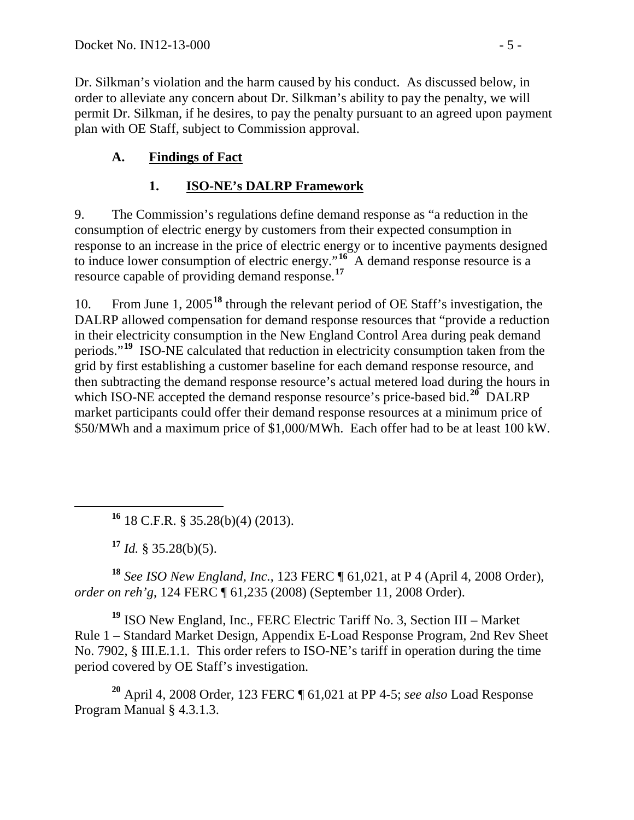Dr. Silkman's violation and the harm caused by his conduct. As discussed below, in order to alleviate any concern about Dr. Silkman's ability to pay the penalty, we will permit Dr. Silkman, if he desires, to pay the penalty pursuant to an agreed upon payment plan with OE Staff, subject to Commission approval.

# **A. Findings of Fact**

# **1. ISO-NE's DALRP Framework**

9. The Commission's regulations define demand response as "a reduction in the consumption of electric energy by customers from their expected consumption in response to an increase in the price of electric energy or to incentive payments designed to induce lower consumption of electric energy."**[16](#page-4-0)** A demand response resource is a resource capable of providing demand response.**[17](#page-4-1)**

10. From June 1, 2005**[18](#page-4-2)** through the relevant period of OE Staff's investigation, the DALRP allowed compensation for demand response resources that "provide a reduction in their electricity consumption in the New England Control Area during peak demand periods."**[19](#page-4-3)** ISO-NE calculated that reduction in electricity consumption taken from the grid by first establishing a customer baseline for each demand response resource, and then subtracting the demand response resource's actual metered load during the hours in which ISO-NE accepted the demand response resource's price-based bid.<sup>[20](#page-4-4)</sup> DALRP market participants could offer their demand response resources at a minimum price of \$50/MWh and a maximum price of \$1,000/MWh. Each offer had to be at least 100 kW.

**<sup>16</sup>** 18 C.F.R. § 35.28(b)(4) (2013).

 $17$  *Id.* § 35.28(b)(5).

<span id="page-4-2"></span><span id="page-4-1"></span><span id="page-4-0"></span>**<sup>18</sup>** *See ISO New England, Inc.*, 123 FERC ¶ 61,021, at P 4 (April 4, 2008 Order), *order on reh'g*, 124 FERC ¶ 61,235 (2008) (September 11, 2008 Order).

<span id="page-4-3"></span>**<sup>19</sup>** ISO New England, Inc., FERC Electric Tariff No. 3, Section III – Market Rule 1 – Standard Market Design, Appendix E-Load Response Program, 2nd Rev Sheet No. 7902, § III.E.1.1. This order refers to ISO-NE's tariff in operation during the time period covered by OE Staff's investigation.

<span id="page-4-4"></span>**<sup>20</sup>** April 4, 2008 Order, 123 FERC ¶ 61,021 at PP 4-5; *see also* Load Response Program Manual § 4.3.1.3.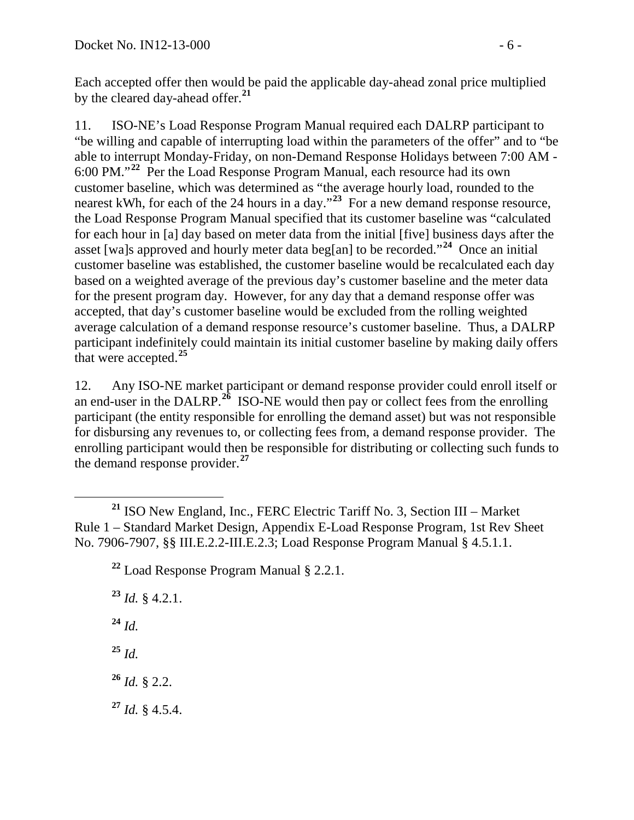Each accepted offer then would be paid the applicable day-ahead zonal price multiplied by the cleared day-ahead offer.**[21](#page-5-0)**

11. ISO-NE's Load Response Program Manual required each DALRP participant to "be willing and capable of interrupting load within the parameters of the offer" and to "be able to interrupt Monday-Friday, on non-Demand Response Holidays between 7:00 AM - 6:00 PM."**[22](#page-5-1)** Per the Load Response Program Manual, each resource had its own customer baseline, which was determined as "the average hourly load, rounded to the nearest kWh, for each of the 24 hours in a day."**[23](#page-5-2)** For a new demand response resource, the Load Response Program Manual specified that its customer baseline was "calculated for each hour in [a] day based on meter data from the initial [five] business days after the asset [wa]s approved and hourly meter data beg[an] to be recorded."**[24](#page-5-3)** Once an initial customer baseline was established, the customer baseline would be recalculated each day based on a weighted average of the previous day's customer baseline and the meter data for the present program day. However, for any day that a demand response offer was accepted, that day's customer baseline would be excluded from the rolling weighted average calculation of a demand response resource's customer baseline. Thus, a DALRP participant indefinitely could maintain its initial customer baseline by making daily offers that were accepted.**[25](#page-5-4)**

12. Any ISO-NE market participant or demand response provider could enroll itself or an end-user in the DALRP.<sup>[26](#page-5-5)</sup> ISO-NE would then pay or collect fees from the enrolling participant (the entity responsible for enrolling the demand asset) but was not responsible for disbursing any revenues to, or collecting fees from, a demand response provider. The enrolling participant would then be responsible for distributing or collecting such funds to the demand response provider.**[27](#page-5-6)**

<span id="page-5-6"></span><span id="page-5-5"></span><span id="page-5-4"></span><span id="page-5-3"></span><span id="page-5-2"></span>**<sup>23</sup>** *Id.* § 4.2.1. **<sup>24</sup>** *Id.* **<sup>25</sup>** *Id.* **<sup>26</sup>** *Id.* § 2.2. **<sup>27</sup>** *Id.* § 4.5.4.

<span id="page-5-1"></span><span id="page-5-0"></span>**<sup>21</sup>** ISO New England, Inc., FERC Electric Tariff No. 3, Section III – Market Rule 1 – Standard Market Design, Appendix E-Load Response Program, 1st Rev Sheet No. 7906-7907, §§ III.E.2.2-III.E.2.3; Load Response Program Manual § 4.5.1.1.

**<sup>22</sup>** Load Response Program Manual § 2.2.1.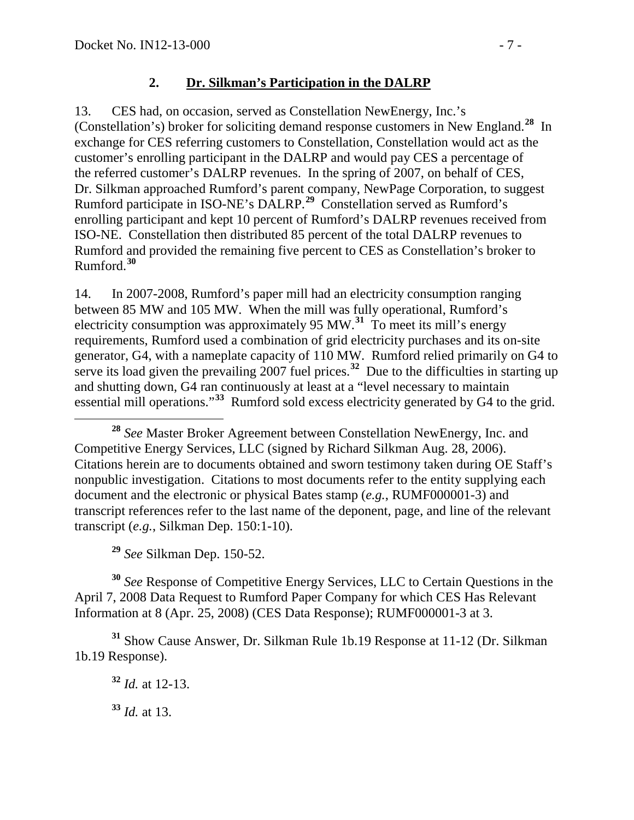#### **2. Dr. Silkman's Participation in the DALRP**

13. CES had, on occasion, served as Constellation NewEnergy, Inc.'s (Constellation's) broker for soliciting demand response customers in New England.**[28](#page-6-0)** In exchange for CES referring customers to Constellation, Constellation would act as the customer's enrolling participant in the DALRP and would pay CES a percentage of the referred customer's DALRP revenues. In the spring of 2007, on behalf of CES, Dr. Silkman approached Rumford's parent company, NewPage Corporation, to suggest Rumford participate in ISO-NE's DALRP.**[29](#page-6-1)** Constellation served as Rumford's enrolling participant and kept 10 percent of Rumford's DALRP revenues received from ISO-NE. Constellation then distributed 85 percent of the total DALRP revenues to Rumford and provided the remaining five percent to CES as Constellation's broker to Rumford.**[30](#page-6-2)**

14. In 2007-2008, Rumford's paper mill had an electricity consumption ranging between 85 MW and 105 MW. When the mill was fully operational, Rumford's electricity consumption was approximately 95 MW.**[31](#page-6-3)** To meet its mill's energy requirements, Rumford used a combination of grid electricity purchases and its on-site generator, G4, with a nameplate capacity of 110 MW. Rumford relied primarily on G4 to serve its load given the prevailing 2007 fuel prices.**[32](#page-6-4)** Due to the difficulties in starting up and shutting down, G4 ran continuously at least at a "level necessary to maintain essential mill operations."**[33](#page-6-5)** Rumford sold excess electricity generated by G4 to the grid.

**<sup>29</sup>** *See* Silkman Dep. 150-52.

<span id="page-6-2"></span><span id="page-6-1"></span>**<sup>30</sup>** *See* Response of Competitive Energy Services, LLC to Certain Questions in the April 7, 2008 Data Request to Rumford Paper Company for which CES Has Relevant Information at 8 (Apr. 25, 2008) (CES Data Response); RUMF000001-3 at 3.

<span id="page-6-5"></span><span id="page-6-4"></span><span id="page-6-3"></span>**<sup>31</sup>** Show Cause Answer, Dr. Silkman Rule 1b.19 Response at 11-12 (Dr. Silkman 1b.19 Response).

**<sup>33</sup>** *Id.* at 13.

<span id="page-6-0"></span>**<sup>28</sup>** *See* Master Broker Agreement between Constellation NewEnergy, Inc. and Competitive Energy Services, LLC (signed by Richard Silkman Aug. 28, 2006). Citations herein are to documents obtained and sworn testimony taken during OE Staff's nonpublic investigation. Citations to most documents refer to the entity supplying each document and the electronic or physical Bates stamp (*e.g.*, RUMF000001-3) and transcript references refer to the last name of the deponent, page, and line of the relevant transcript (*e.g.*, Silkman Dep. 150:1-10).

**<sup>32</sup>** *Id.* at 12-13.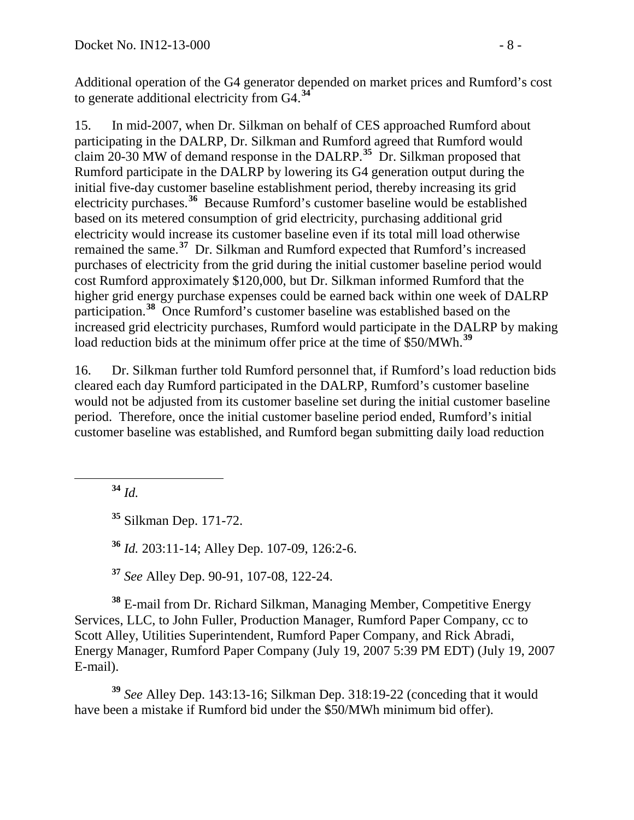Additional operation of the G4 generator depended on market prices and Rumford's cost to generate additional electricity from G4.**[34](#page-7-0)**

<span id="page-7-6"></span>15. In mid-2007, when Dr. Silkman on behalf of CES approached Rumford about participating in the DALRP, Dr. Silkman and Rumford agreed that Rumford would claim  $20-30$  MW of demand response in the DALRP.<sup>[35](#page-7-1)</sup> Dr. Silkman proposed that Rumford participate in the DALRP by lowering its G4 generation output during the initial five-day customer baseline establishment period, thereby increasing its grid electricity purchases.**[36](#page-7-2)** Because Rumford's customer baseline would be established based on its metered consumption of grid electricity, purchasing additional grid electricity would increase its customer baseline even if its total mill load otherwise remained the same.**[37](#page-7-3)** Dr. Silkman and Rumford expected that Rumford's increased purchases of electricity from the grid during the initial customer baseline period would cost Rumford approximately \$120,000, but Dr. Silkman informed Rumford that the higher grid energy purchase expenses could be earned back within one week of DALRP participation.**[38](#page-7-4)** Once Rumford's customer baseline was established based on the increased grid electricity purchases, Rumford would participate in the DALRP by making load reduction bids at the minimum offer price at the time of \$50/MWh.**[39](#page-7-5)**

<span id="page-7-7"></span>16. Dr. Silkman further told Rumford personnel that, if Rumford's load reduction bids cleared each day Rumford participated in the DALRP, Rumford's customer baseline would not be adjusted from its customer baseline set during the initial customer baseline period. Therefore, once the initial customer baseline period ended, Rumford's initial customer baseline was established, and Rumford began submitting daily load reduction

<span id="page-7-0"></span>**<sup>34</sup>** *Id.*

**<sup>35</sup>** Silkman Dep. 171-72.

**<sup>36</sup>** *Id.* 203:11-14; Alley Dep. 107-09, 126:2-6.

**<sup>37</sup>** *See* Alley Dep. 90-91, 107-08, 122-24.

<span id="page-7-4"></span><span id="page-7-3"></span><span id="page-7-2"></span><span id="page-7-1"></span>**<sup>38</sup>** E-mail from Dr. Richard Silkman, Managing Member, Competitive Energy Services, LLC, to John Fuller, Production Manager, Rumford Paper Company, cc to Scott Alley, Utilities Superintendent, Rumford Paper Company, and Rick Abradi, Energy Manager, Rumford Paper Company (July 19, 2007 5:39 PM EDT) (July 19, 2007 E-mail).

<span id="page-7-5"></span>**<sup>39</sup>** *See* Alley Dep. 143:13-16; Silkman Dep. 318:19-22 (conceding that it would have been a mistake if Rumford bid under the \$50/MWh minimum bid offer).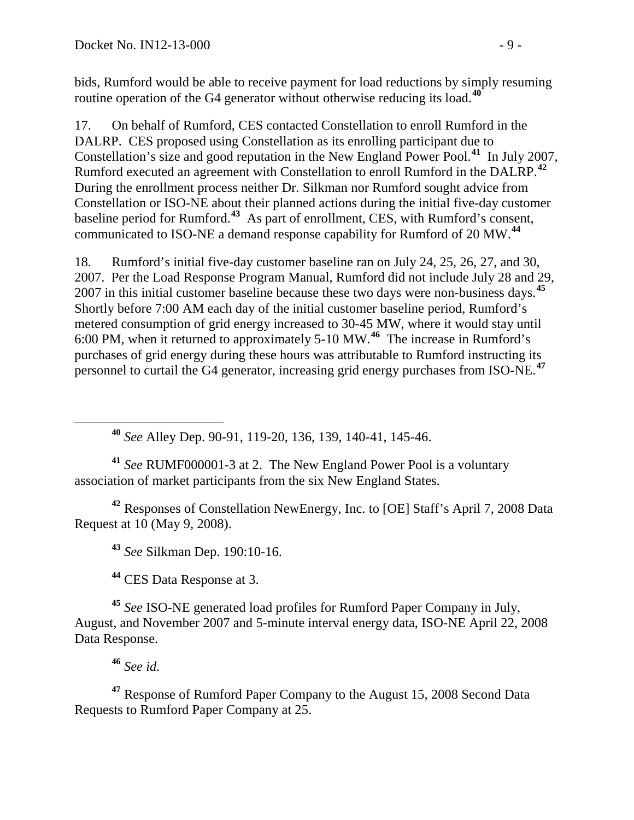bids, Rumford would be able to receive payment for load reductions by simply resuming routine operation of the G4 generator without otherwise reducing its load.**[40](#page-8-0)**

17. On behalf of Rumford, CES contacted Constellation to enroll Rumford in the DALRP. CES proposed using Constellation as its enrolling participant due to Constellation's size and good reputation in the New England Power Pool. **[41](#page-8-1)** In July 2007, Rumford executed an agreement with Constellation to enroll Rumford in the DALRP.**[42](#page-8-2)** During the enrollment process neither Dr. Silkman nor Rumford sought advice from Constellation or ISO-NE about their planned actions during the initial five-day customer baseline period for Rumford.**[43](#page-8-3)** As part of enrollment, CES, with Rumford's consent, communicated to ISO-NE a demand response capability for Rumford of 20 MW.**[44](#page-8-4)**

18. Rumford's initial five-day customer baseline ran on July 24, 25, 26, 27, and 30, 2007. Per the Load Response Program Manual, Rumford did not include July 28 and 29, 2007 in this initial customer baseline because these two days were non-business days.**[45](#page-8-5)** Shortly before 7:00 AM each day of the initial customer baseline period, Rumford's metered consumption of grid energy increased to 30-45 MW, where it would stay until 6:00 PM, when it returned to approximately 5-10 MW.**[46](#page-8-6)** The increase in Rumford's purchases of grid energy during these hours was attributable to Rumford instructing its personnel to curtail the G4 generator, increasing grid energy purchases from ISO-NE. **[47](#page-8-7)**

**<sup>40</sup>** *See* Alley Dep. 90-91, 119-20, 136, 139, 140-41, 145-46.

<span id="page-8-1"></span><span id="page-8-0"></span>**<sup>41</sup>** *See* RUMF000001-3 at 2. The New England Power Pool is a voluntary association of market participants from the six New England States.

<span id="page-8-3"></span><span id="page-8-2"></span>**<sup>42</sup>** Responses of Constellation NewEnergy, Inc. to [OE] Staff's April 7, 2008 Data Request at 10 (May 9, 2008).

**<sup>43</sup>** *See* Silkman Dep. 190:10-16.

**<sup>44</sup>** CES Data Response at 3.

<span id="page-8-5"></span><span id="page-8-4"></span>**<sup>45</sup>** *See* ISO-NE generated load profiles for Rumford Paper Company in July, August, and November 2007 and 5-minute interval energy data, ISO-NE April 22, 2008 Data Response.

**<sup>46</sup>** *See id.*

<span id="page-8-7"></span><span id="page-8-6"></span>**<sup>47</sup>** Response of Rumford Paper Company to the August 15, 2008 Second Data Requests to Rumford Paper Company at 25.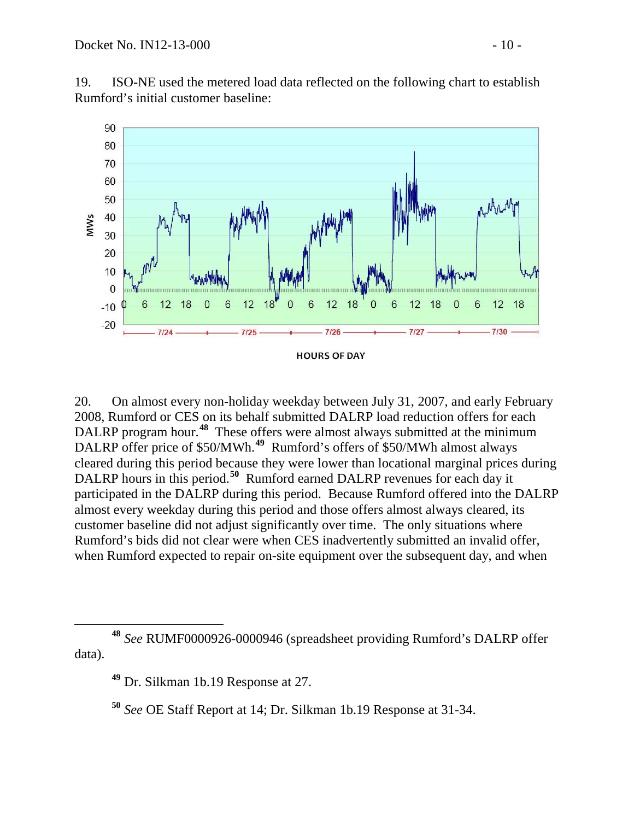19. ISO-NE used the metered load data reflected on the following chart to establish Rumford's initial customer baseline:



20. On almost every non-holiday weekday between July 31, 2007, and early February 2008, Rumford or CES on its behalf submitted DALRP load reduction offers for each DALRP program hour. **[48](#page-9-0)** These offers were almost always submitted at the minimum DALRP offer price of \$50/MWh.<sup>[49](#page-9-1)</sup> Rumford's offers of \$50/MWh almost always cleared during this period because they were lower than locational marginal prices during DALRP hours in this period.<sup>[50](#page-9-2)</sup> Rumford earned DALRP revenues for each day it participated in the DALRP during this period. Because Rumford offered into the DALRP almost every weekday during this period and those offers almost always cleared, its customer baseline did not adjust significantly over time. The only situations where Rumford's bids did not clear were when CES inadvertently submitted an invalid offer, when Rumford expected to repair on-site equipment over the subsequent day, and when

<span id="page-9-2"></span><span id="page-9-1"></span><span id="page-9-0"></span>**<sup>48</sup>** *See* RUMF0000926-0000946 (spreadsheet providing Rumford's DALRP offer data).

**<sup>49</sup>** Dr. Silkman 1b.19 Response at 27.

**<sup>50</sup>** *See* OE Staff Report at 14; Dr. Silkman 1b.19 Response at 31-34.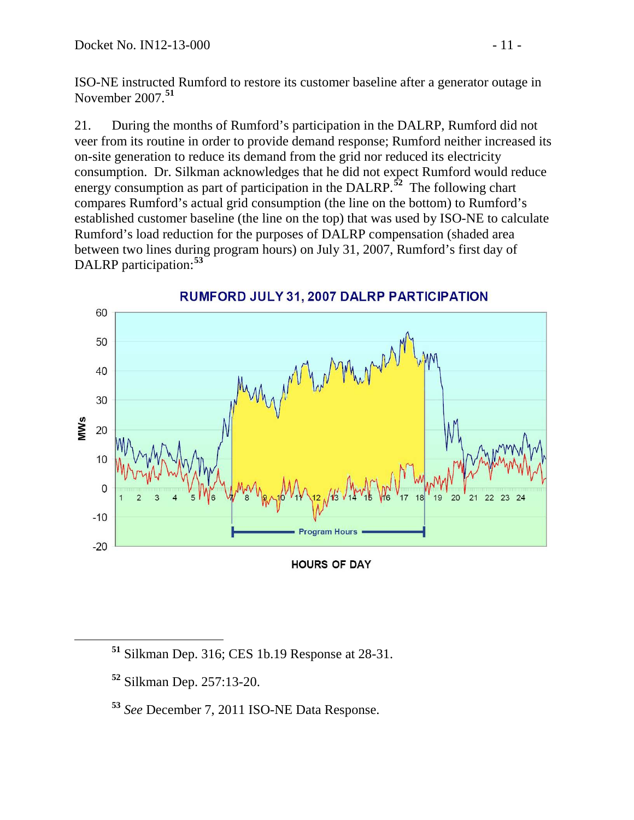ISO-NE instructed Rumford to restore its customer baseline after a generator outage in November 2007.**[51](#page-10-0)**

21. During the months of Rumford's participation in the DALRP, Rumford did not veer from its routine in order to provide demand response; Rumford neither increased its on-site generation to reduce its demand from the grid nor reduced its electricity consumption. Dr. Silkman acknowledges that he did not expect Rumford would reduce energy consumption as part of participation in the DALRP.<sup>[52](#page-10-1)</sup> The following chart compares Rumford's actual grid consumption (the line on the bottom) to Rumford's established customer baseline (the line on the top) that was used by ISO-NE to calculate Rumford's load reduction for the purposes of DALRP compensation (shaded area between two lines during program hours) on July 31, 2007, Rumford's first day of DALRP participation:**[53](#page-10-2)**



RUMFORD JULY 31, 2007 DALRP PARTICIPATION

**HOURS OF DAY** 

<span id="page-10-0"></span>**<sup>51</sup>** Silkman Dep. 316; CES 1b.19 Response at 28-31.

<span id="page-10-1"></span>**<sup>52</sup>** Silkman Dep. 257:13-20.

<span id="page-10-2"></span>**<sup>53</sup>** *See* December 7, 2011 ISO-NE Data Response.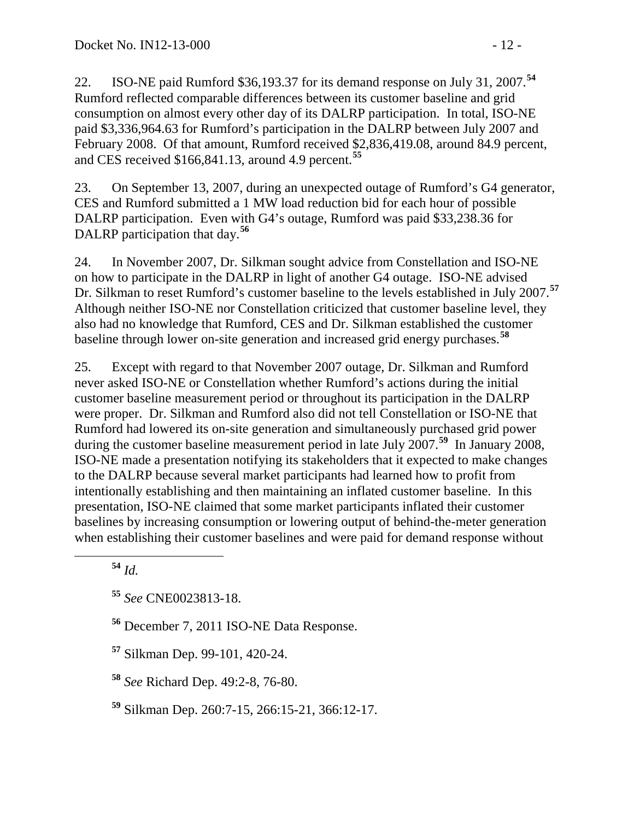22. ISO-NE paid Rumford \$36,193.37 for its demand response on July 31, 2007.**[54](#page-11-0)** Rumford reflected comparable differences between its customer baseline and grid consumption on almost every other day of its DALRP participation. In total, ISO-NE paid \$3,336,964.63 for Rumford's participation in the DALRP between July 2007 and February 2008. Of that amount, Rumford received \$2,836,419.08, around 84.9 percent, and CES received \$166,841.13, around 4.9 percent. **[55](#page-11-1)**

23. On September 13, 2007, during an unexpected outage of Rumford's G4 generator, CES and Rumford submitted a 1 MW load reduction bid for each hour of possible DALRP participation. Even with G4's outage, Rumford was paid \$33,238.36 for DALRP participation that day. **[56](#page-11-2)**

24. In November 2007, Dr. Silkman sought advice from Constellation and ISO-NE on how to participate in the DALRP in light of another G4 outage. ISO-NE advised Dr. Silkman to reset Rumford's customer baseline to the levels established in July 2007.**[57](#page-11-3)** Although neither ISO-NE nor Constellation criticized that customer baseline level, they also had no knowledge that Rumford, CES and Dr. Silkman established the customer baseline through lower on-site generation and increased grid energy purchases.**[58](#page-11-4)**

25. Except with regard to that November 2007 outage, Dr. Silkman and Rumford never asked ISO-NE or Constellation whether Rumford's actions during the initial customer baseline measurement period or throughout its participation in the DALRP were proper. Dr. Silkman and Rumford also did not tell Constellation or ISO-NE that Rumford had lowered its on-site generation and simultaneously purchased grid power during the customer baseline measurement period in late July 2007.**[59](#page-11-5)** In January 2008, ISO-NE made a presentation notifying its stakeholders that it expected to make changes to the DALRP because several market participants had learned how to profit from intentionally establishing and then maintaining an inflated customer baseline. In this presentation, ISO-NE claimed that some market participants inflated their customer baselines by increasing consumption or lowering output of behind-the-meter generation when establishing their customer baselines and were paid for demand response without

<span id="page-11-0"></span>**<sup>54</sup>** *Id.*

<span id="page-11-1"></span>**<sup>55</sup>** *See* CNE0023813-18.

<span id="page-11-2"></span>**<sup>56</sup>** December 7, 2011 ISO-NE Data Response.

<span id="page-11-3"></span>**<sup>57</sup>** Silkman Dep. 99-101, 420-24.

<span id="page-11-4"></span>**<sup>58</sup>** *See* Richard Dep. 49:2-8, 76-80.

<span id="page-11-5"></span>**<sup>59</sup>** Silkman Dep. 260:7-15, 266:15-21, 366:12-17.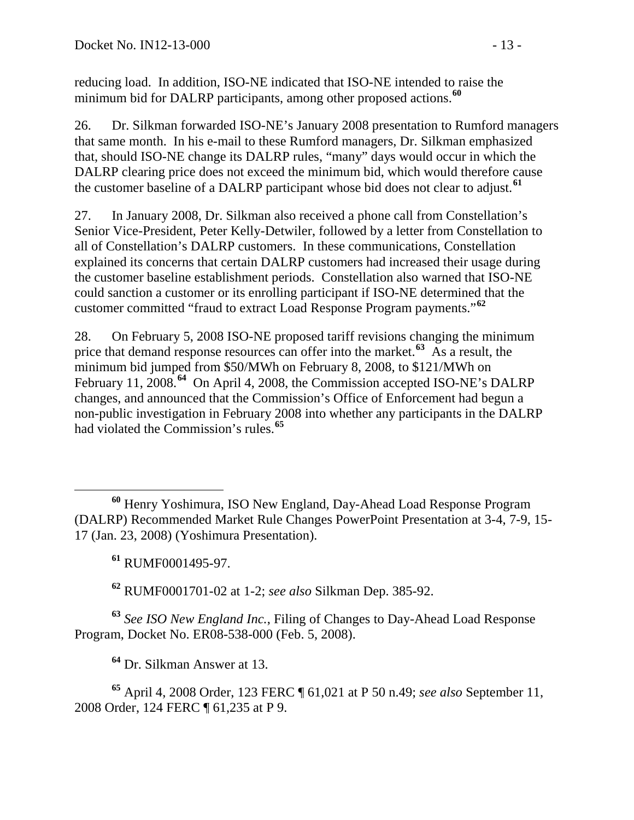reducing load. In addition, ISO-NE indicated that ISO-NE intended to raise the minimum bid for DALRP participants, among other proposed actions.**[60](#page-12-0)**

26. Dr. Silkman forwarded ISO-NE's January 2008 presentation to Rumford managers that same month. In his e-mail to these Rumford managers, Dr. Silkman emphasized that, should ISO-NE change its DALRP rules, "many" days would occur in which the DALRP clearing price does not exceed the minimum bid, which would therefore cause the customer baseline of a DALRP participant whose bid does not clear to adjust. **[61](#page-12-1)**

27. In January 2008, Dr. Silkman also received a phone call from Constellation's Senior Vice-President, Peter Kelly-Detwiler, followed by a letter from Constellation to all of Constellation's DALRP customers. In these communications, Constellation explained its concerns that certain DALRP customers had increased their usage during the customer baseline establishment periods. Constellation also warned that ISO-NE could sanction a customer or its enrolling participant if ISO-NE determined that the customer committed "fraud to extract Load Response Program payments."**[62](#page-12-2)**

28. On February 5, 2008 ISO-NE proposed tariff revisions changing the minimum price that demand response resources can offer into the market.**[63](#page-12-3)** As a result, the minimum bid jumped from \$50/MWh on February 8, 2008, to \$121/MWh on February 11, 2008.**[64](#page-12-4)** On April 4, 2008, the Commission accepted ISO-NE's DALRP changes, and announced that the Commission's Office of Enforcement had begun a non-public investigation in February 2008 into whether any participants in the DALRP had violated the Commission's rules.**[65](#page-12-5)**

**<sup>61</sup>** RUMF0001495-97.

**<sup>62</sup>** RUMF0001701-02 at 1-2; *see also* Silkman Dep. 385-92.

<span id="page-12-3"></span><span id="page-12-2"></span><span id="page-12-1"></span>**<sup>63</sup>** *See ISO New England Inc.*, Filing of Changes to Day-Ahead Load Response Program, Docket No. ER08-538-000 (Feb. 5, 2008).

**<sup>64</sup>** Dr. Silkman Answer at 13.

<span id="page-12-5"></span><span id="page-12-4"></span>**<sup>65</sup>** April 4, 2008 Order, 123 FERC ¶ 61,021 at P 50 n.49; *see also* September 11, 2008 Order, 124 FERC ¶ 61,235 at P 9.

<span id="page-12-0"></span>**<sup>60</sup>** Henry Yoshimura, ISO New England, Day-Ahead Load Response Program (DALRP) Recommended Market Rule Changes PowerPoint Presentation at 3-4, 7-9, 15- 17 (Jan. 23, 2008) (Yoshimura Presentation).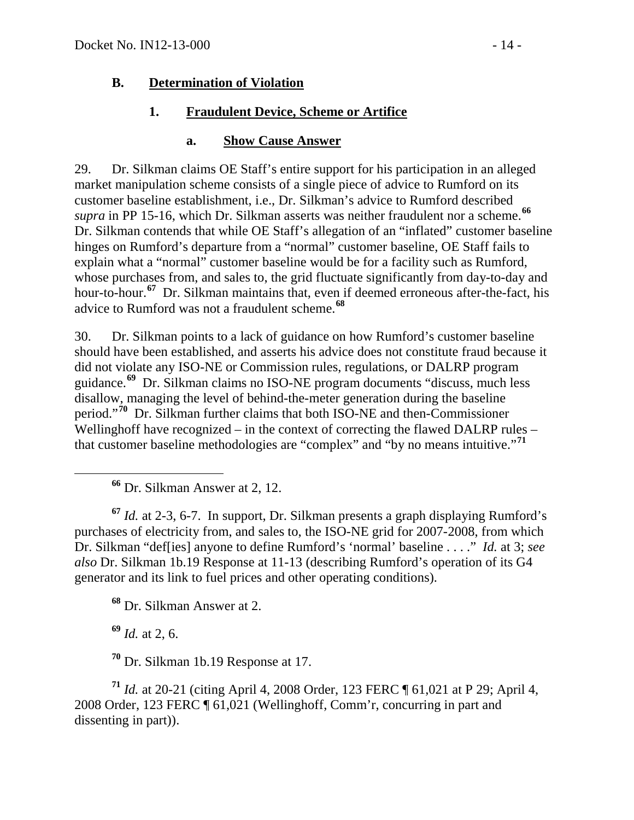### **B. Determination of Violation**

### **1. Fraudulent Device, Scheme or Artifice**

#### **a. Show Cause Answer**

29. Dr. Silkman claims OE Staff's entire support for his participation in an alleged market manipulation scheme consists of a single piece of advice to Rumford on its customer baseline establishment, i.e., Dr. Silkman's advice to Rumford described *supra* in PP [15-](#page-7-6)[16,](#page-7-7) which Dr. Silkman asserts was neither fraudulent nor a scheme.**[66](#page-13-0)** Dr. Silkman contends that while OE Staff's allegation of an "inflated" customer baseline hinges on Rumford's departure from a "normal" customer baseline, OE Staff fails to explain what a "normal" customer baseline would be for a facility such as Rumford, whose purchases from, and sales to, the grid fluctuate significantly from day-to-day and hour-to-hour.**[67](#page-13-1)** Dr. Silkman maintains that, even if deemed erroneous after-the-fact, his advice to Rumford was not a fraudulent scheme.**[68](#page-13-2)**

30. Dr. Silkman points to a lack of guidance on how Rumford's customer baseline should have been established, and asserts his advice does not constitute fraud because it did not violate any ISO-NE or Commission rules, regulations, or DALRP program guidance.**[69](#page-13-3)** Dr. Silkman claims no ISO-NE program documents "discuss, much less disallow, managing the level of behind-the-meter generation during the baseline period."**[70](#page-13-4)** Dr. Silkman further claims that both ISO-NE and then-Commissioner Wellinghoff have recognized – in the context of correcting the flawed DALRP rules – that customer baseline methodologies are "complex" and "by no means intuitive."**[71](#page-13-5)**

**<sup>66</sup>** Dr. Silkman Answer at 2, 12.

<span id="page-13-1"></span><span id="page-13-0"></span>**<sup>67</sup>** *Id.* at 2-3, 6-7. In support, Dr. Silkman presents a graph displaying Rumford's purchases of electricity from, and sales to, the ISO-NE grid for 2007-2008, from which Dr. Silkman "def[ies] anyone to define Rumford's 'normal' baseline . . . ." *Id.* at 3; *see also* Dr. Silkman 1b.19 Response at 11-13 (describing Rumford's operation of its G4 generator and its link to fuel prices and other operating conditions).

**<sup>68</sup>** Dr. Silkman Answer at 2.

**<sup>69</sup>** *Id.* at 2, 6.

**<sup>70</sup>** Dr. Silkman 1b.19 Response at 17.

<span id="page-13-5"></span><span id="page-13-4"></span><span id="page-13-3"></span><span id="page-13-2"></span>**<sup>71</sup>** *Id.* at 20-21 (citing April 4, 2008 Order, 123 FERC ¶ 61,021 at P 29; April 4, 2008 Order, 123 FERC ¶ 61,021 (Wellinghoff, Comm'r, concurring in part and dissenting in part)).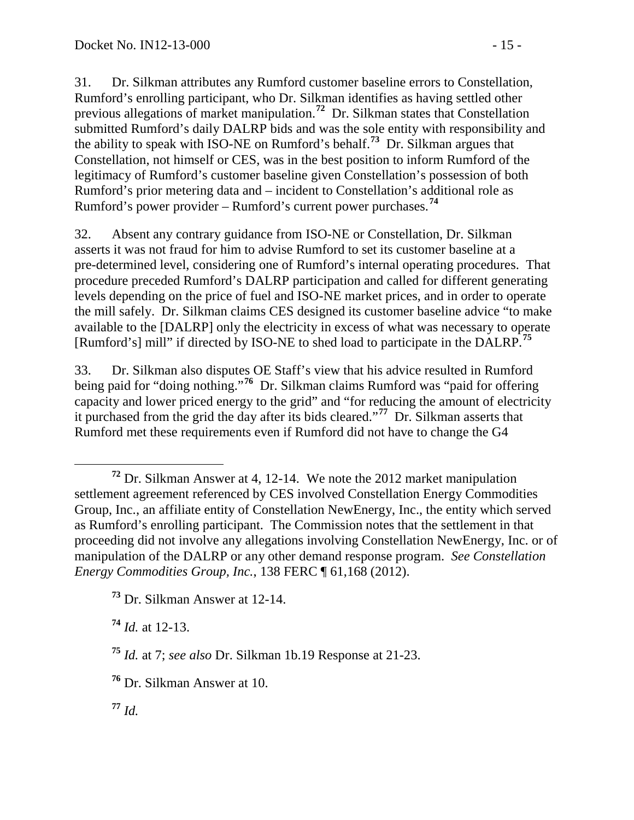31. Dr. Silkman attributes any Rumford customer baseline errors to Constellation, Rumford's enrolling participant, who Dr. Silkman identifies as having settled other previous allegations of market manipulation. **[72](#page-14-0)** Dr. Silkman states that Constellation submitted Rumford's daily DALRP bids and was the sole entity with responsibility and the ability to speak with ISO-NE on Rumford's behalf.**[73](#page-14-1)** Dr. Silkman argues that Constellation, not himself or CES, was in the best position to inform Rumford of the legitimacy of Rumford's customer baseline given Constellation's possession of both Rumford's prior metering data and – incident to Constellation's additional role as Rumford's power provider – Rumford's current power purchases.**[74](#page-14-2)**

32. Absent any contrary guidance from ISO-NE or Constellation, Dr. Silkman asserts it was not fraud for him to advise Rumford to set its customer baseline at a pre-determined level, considering one of Rumford's internal operating procedures. That procedure preceded Rumford's DALRP participation and called for different generating levels depending on the price of fuel and ISO-NE market prices, and in order to operate the mill safely. Dr. Silkman claims CES designed its customer baseline advice "to make available to the [DALRP] only the electricity in excess of what was necessary to operate [Rumford's] mill" if directed by ISO-NE to shed load to participate in the DALRP. **[75](#page-14-3)**

33. Dr. Silkman also disputes OE Staff's view that his advice resulted in Rumford being paid for "doing nothing."**[76](#page-14-4)** Dr. Silkman claims Rumford was "paid for offering capacity and lower priced energy to the grid" and "for reducing the amount of electricity it purchased from the grid the day after its bids cleared."**[77](#page-14-5)** Dr. Silkman asserts that Rumford met these requirements even if Rumford did not have to change the G4

<span id="page-14-2"></span>**<sup>74</sup>** *Id.* at 12-13.

<span id="page-14-4"></span>**<sup>76</sup>** Dr. Silkman Answer at 10.

<span id="page-14-5"></span>**<sup>77</sup>** *Id.*

<span id="page-14-0"></span>**<sup>72</sup>** Dr. Silkman Answer at 4, 12-14. We note the 2012 market manipulation settlement agreement referenced by CES involved Constellation Energy Commodities Group, Inc., an affiliate entity of Constellation NewEnergy, Inc., the entity which served as Rumford's enrolling participant. The Commission notes that the settlement in that proceeding did not involve any allegations involving Constellation NewEnergy, Inc. or of manipulation of the DALRP or any other demand response program. *See Constellation Energy Commodities Group, Inc.*, 138 FERC ¶ 61,168 (2012).

<span id="page-14-1"></span>**<sup>73</sup>** Dr. Silkman Answer at 12-14.

<span id="page-14-3"></span>**<sup>75</sup>** *Id.* at 7; *see also* Dr. Silkman 1b.19 Response at 21-23.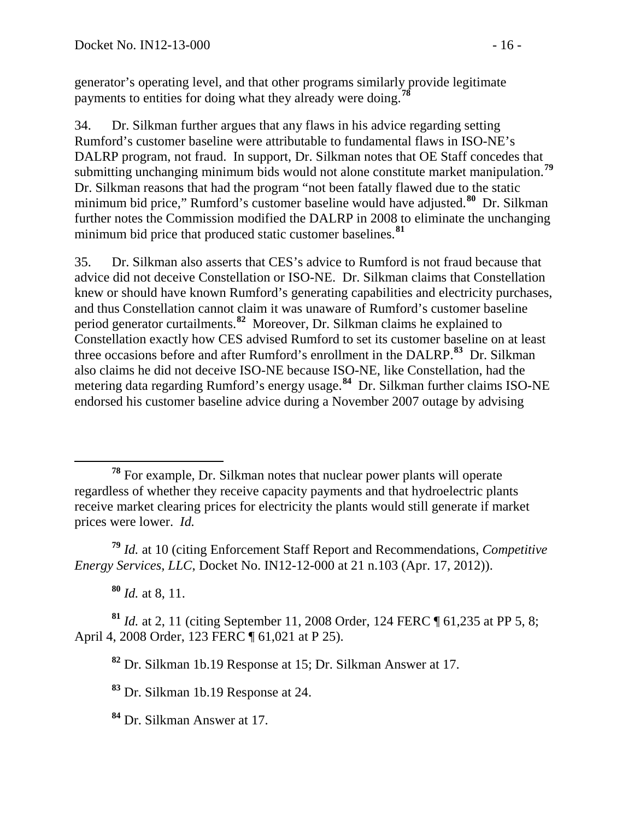generator's operating level, and that other programs similarly provide legitimate payments to entities for doing what they already were doing. **[78](#page-15-0)**

34. Dr. Silkman further argues that any flaws in his advice regarding setting Rumford's customer baseline were attributable to fundamental flaws in ISO-NE's DALRP program, not fraud. In support, Dr. Silkman notes that OE Staff concedes that submitting unchanging minimum bids would not alone constitute market manipulation.**[79](#page-15-1)** Dr. Silkman reasons that had the program "not been fatally flawed due to the static minimum bid price," Rumford's customer baseline would have adjusted.**[80](#page-15-2)** Dr. Silkman further notes the Commission modified the DALRP in 2008 to eliminate the unchanging minimum bid price that produced static customer baselines.**[81](#page-15-3)**

35. Dr. Silkman also asserts that CES's advice to Rumford is not fraud because that advice did not deceive Constellation or ISO-NE. Dr. Silkman claims that Constellation knew or should have known Rumford's generating capabilities and electricity purchases, and thus Constellation cannot claim it was unaware of Rumford's customer baseline period generator curtailments.**[82](#page-15-4)** Moreover, Dr. Silkman claims he explained to Constellation exactly how CES advised Rumford to set its customer baseline on at least three occasions before and after Rumford's enrollment in the DALRP. **[83](#page-15-5)** Dr. Silkman also claims he did not deceive ISO-NE because ISO-NE, like Constellation, had the metering data regarding Rumford's energy usage.**[84](#page-15-6)** Dr. Silkman further claims ISO-NE endorsed his customer baseline advice during a November 2007 outage by advising

<span id="page-15-1"></span>**<sup>79</sup>** *Id.* at 10 (citing Enforcement Staff Report and Recommendations, *Competitive Energy Services, LLC*, Docket No. IN12-12-000 at 21 n.103 (Apr. 17, 2012)).

**<sup>80</sup>** *Id.* at 8, 11.

<span id="page-15-5"></span><span id="page-15-4"></span><span id="page-15-3"></span><span id="page-15-2"></span>**<sup>81</sup>** *Id.* at 2, 11 (citing September 11, 2008 Order, 124 FERC ¶ 61,235 at PP 5, 8; April 4, 2008 Order, 123 FERC ¶ 61,021 at P 25).

**<sup>82</sup>** Dr. Silkman 1b.19 Response at 15; Dr. Silkman Answer at 17.

**<sup>83</sup>** Dr. Silkman 1b.19 Response at 24.

<span id="page-15-6"></span>**<sup>84</sup>** Dr. Silkman Answer at 17.

<span id="page-15-0"></span>**<sup>78</sup>** For example, Dr. Silkman notes that nuclear power plants will operate regardless of whether they receive capacity payments and that hydroelectric plants receive market clearing prices for electricity the plants would still generate if market prices were lower. *Id.*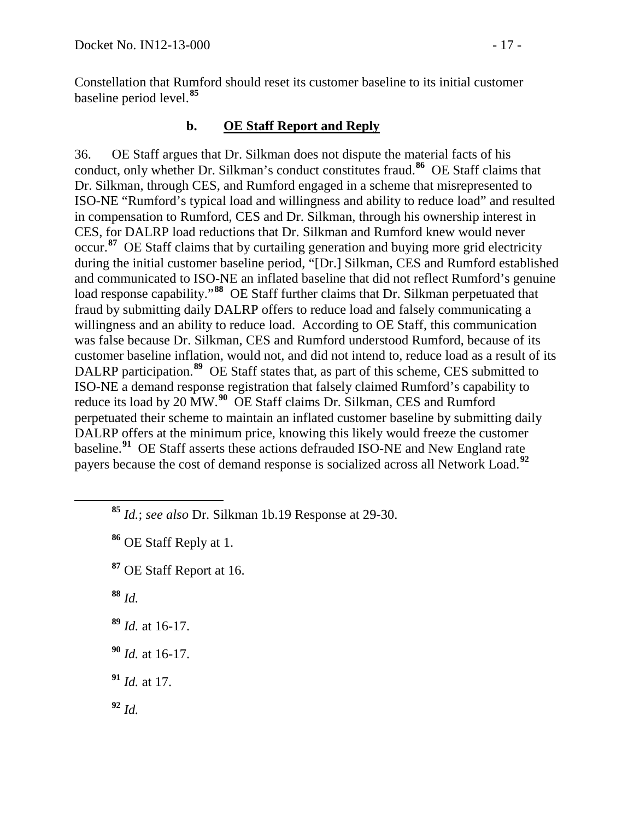Constellation that Rumford should reset its customer baseline to its initial customer baseline period level.**[85](#page-16-0)**

### **b. OE Staff Report and Reply**

36. OE Staff argues that Dr. Silkman does not dispute the material facts of his conduct, only whether Dr. Silkman's conduct constitutes fraud.**[86](#page-16-1)** OE Staff claims that Dr. Silkman, through CES, and Rumford engaged in a scheme that misrepresented to ISO-NE "Rumford's typical load and willingness and ability to reduce load" and resulted in compensation to Rumford, CES and Dr. Silkman, through his ownership interest in CES, for DALRP load reductions that Dr. Silkman and Rumford knew would never occur.**[87](#page-16-2)** OE Staff claims that by curtailing generation and buying more grid electricity during the initial customer baseline period, "[Dr.] Silkman, CES and Rumford established and communicated to ISO-NE an inflated baseline that did not reflect Rumford's genuine load response capability."**[88](#page-16-3)** OE Staff further claims that Dr. Silkman perpetuated that fraud by submitting daily DALRP offers to reduce load and falsely communicating a willingness and an ability to reduce load. According to OE Staff, this communication was false because Dr. Silkman, CES and Rumford understood Rumford, because of its customer baseline inflation, would not, and did not intend to, reduce load as a result of its DALRP participation.<sup>[89](#page-16-4)</sup> OE Staff states that, as part of this scheme, CES submitted to ISO-NE a demand response registration that falsely claimed Rumford's capability to reduce its load by 20 MW.<sup>[90](#page-16-5)</sup> OE Staff claims Dr. Silkman, CES and Rumford perpetuated their scheme to maintain an inflated customer baseline by submitting daily DALRP offers at the minimum price, knowing this likely would freeze the customer baseline.**[91](#page-16-6)** OE Staff asserts these actions defrauded ISO-NE and New England rate payers because the cost of demand response is socialized across all Network Load.**[92](#page-16-7)**

<span id="page-16-1"></span>**<sup>86</sup>** OE Staff Reply at 1.

<span id="page-16-2"></span>**<sup>87</sup>** OE Staff Report at 16.

<span id="page-16-3"></span>**<sup>88</sup>** *Id.*

<span id="page-16-4"></span>**<sup>89</sup>** *Id.* at 16-17.

<span id="page-16-5"></span>**<sup>90</sup>** *Id.* at 16-17.

<span id="page-16-6"></span>**<sup>91</sup>** *Id.* at 17.

<span id="page-16-7"></span>**<sup>92</sup>** *Id.*

<span id="page-16-0"></span>**<sup>85</sup>** *Id.*; *see also* Dr. Silkman 1b.19 Response at 29-30.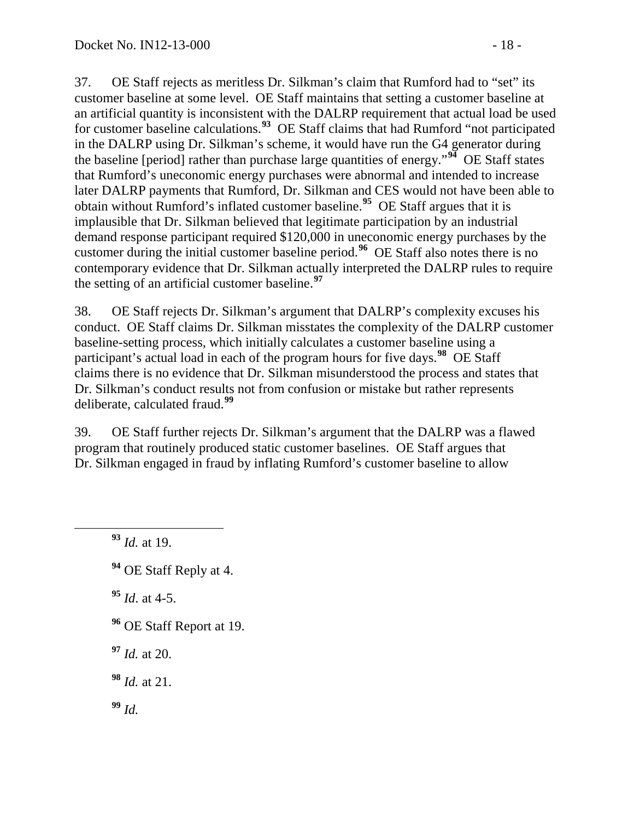37. OE Staff rejects as meritless Dr. Silkman's claim that Rumford had to "set" its customer baseline at some level. OE Staff maintains that setting a customer baseline at an artificial quantity is inconsistent with the DALRP requirement that actual load be used for customer baseline calculations.**[93](#page-17-0)** OE Staff claims that had Rumford "not participated in the DALRP using Dr. Silkman's scheme, it would have run the G4 generator during the baseline [period] rather than purchase large quantities of energy."**[94](#page-17-1)** OE Staff states that Rumford's uneconomic energy purchases were abnormal and intended to increase later DALRP payments that Rumford, Dr. Silkman and CES would not have been able to obtain without Rumford's inflated customer baseline.**[95](#page-17-2)** OE Staff argues that it is implausible that Dr. Silkman believed that legitimate participation by an industrial demand response participant required \$120,000 in uneconomic energy purchases by the customer during the initial customer baseline period.**[96](#page-17-3)** OE Staff also notes there is no contemporary evidence that Dr. Silkman actually interpreted the DALRP rules to require the setting of an artificial customer baseline.**[97](#page-17-4)**

38. OE Staff rejects Dr. Silkman's argument that DALRP's complexity excuses his conduct. OE Staff claims Dr. Silkman misstates the complexity of the DALRP customer baseline-setting process, which initially calculates a customer baseline using a participant's actual load in each of the program hours for five days.**[98](#page-17-5)** OE Staff claims there is no evidence that Dr. Silkman misunderstood the process and states that Dr. Silkman's conduct results not from confusion or mistake but rather represents deliberate, calculated fraud.**[99](#page-17-6)**

39. OE Staff further rejects Dr. Silkman's argument that the DALRP was a flawed program that routinely produced static customer baselines. OE Staff argues that Dr. Silkman engaged in fraud by inflating Rumford's customer baseline to allow

<span id="page-17-0"></span>**<sup>93</sup>** *Id.* at 19.

<span id="page-17-1"></span>**<sup>94</sup>** OE Staff Reply at 4.

<span id="page-17-2"></span>**<sup>95</sup>** *Id*. at 4-5.

- <span id="page-17-3"></span>**<sup>96</sup>** OE Staff Report at 19.
- <span id="page-17-4"></span>**<sup>97</sup>** *Id.* at 20.

<span id="page-17-5"></span>**<sup>98</sup>** *Id.* at 21.

<span id="page-17-6"></span>**<sup>99</sup>** *Id.*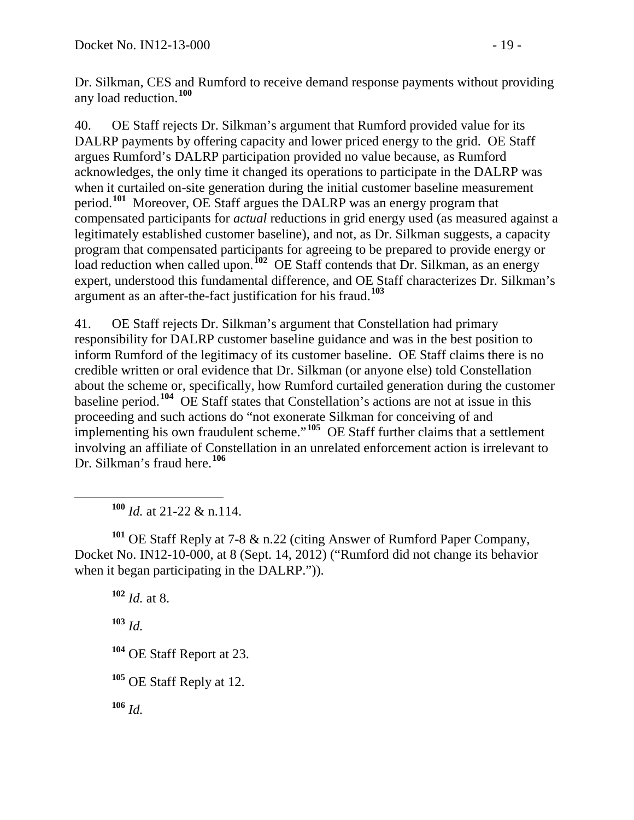Dr. Silkman, CES and Rumford to receive demand response payments without providing any load reduction.**[100](#page-18-0)**

40. OE Staff rejects Dr. Silkman's argument that Rumford provided value for its DALRP payments by offering capacity and lower priced energy to the grid. OE Staff argues Rumford's DALRP participation provided no value because, as Rumford acknowledges, the only time it changed its operations to participate in the DALRP was when it curtailed on-site generation during the initial customer baseline measurement period. **[101](#page-18-1)** Moreover, OE Staff argues the DALRP was an energy program that compensated participants for *actual* reductions in grid energy used (as measured against a legitimately established customer baseline), and not, as Dr. Silkman suggests, a capacity program that compensated participants for agreeing to be prepared to provide energy or load reduction when called upon.<sup>[102](#page-18-2)</sup> OE Staff contends that Dr. Silkman, as an energy expert, understood this fundamental difference, and OE Staff characterizes Dr. Silkman's argument as an after-the-fact justification for his fraud.**[103](#page-18-3)**

41. OE Staff rejects Dr. Silkman's argument that Constellation had primary responsibility for DALRP customer baseline guidance and was in the best position to inform Rumford of the legitimacy of its customer baseline. OE Staff claims there is no credible written or oral evidence that Dr. Silkman (or anyone else) told Constellation about the scheme or, specifically, how Rumford curtailed generation during the customer baseline period.**[104](#page-18-4)** OE Staff states that Constellation's actions are not at issue in this proceeding and such actions do "not exonerate Silkman for conceiving of and implementing his own fraudulent scheme."**[105](#page-18-5)** OE Staff further claims that a settlement involving an affiliate of Constellation in an unrelated enforcement action is irrelevant to Dr. Silkman's fraud here. **[106](#page-18-6)**

**<sup>100</sup>** *Id.* at 21-22 & n.114.

<span id="page-18-2"></span><span id="page-18-1"></span><span id="page-18-0"></span>**<sup>101</sup>** OE Staff Reply at 7-8 & n.22 (citing Answer of Rumford Paper Company, Docket No. IN12-10-000, at 8 (Sept. 14, 2012) ("Rumford did not change its behavior when it began participating in the DALRP.")).

<span id="page-18-6"></span><span id="page-18-5"></span><span id="page-18-4"></span><span id="page-18-3"></span>**<sup>102</sup>** *Id.* at 8. **<sup>103</sup>** *Id.* **<sup>104</sup>** OE Staff Report at 23. **<sup>105</sup>** OE Staff Reply at 12. **<sup>106</sup>** *Id.*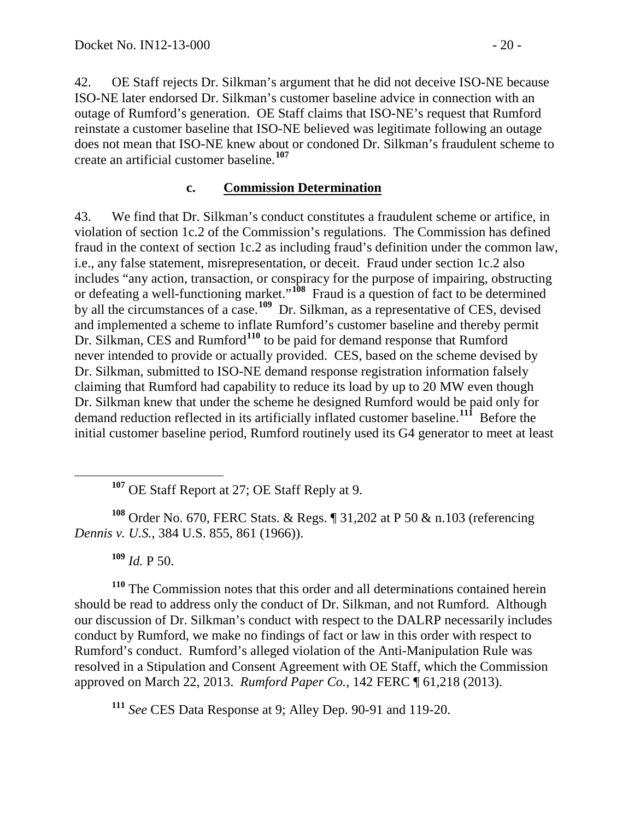42. OE Staff rejects Dr. Silkman's argument that he did not deceive ISO-NE because ISO-NE later endorsed Dr. Silkman's customer baseline advice in connection with an outage of Rumford's generation. OE Staff claims that ISO-NE's request that Rumford reinstate a customer baseline that ISO-NE believed was legitimate following an outage does not mean that ISO-NE knew about or condoned Dr. Silkman's fraudulent scheme to create an artificial customer baseline.**[107](#page-19-0)**

#### **c. Commission Determination**

43. We find that Dr. Silkman's conduct constitutes a fraudulent scheme or artifice, in violation of section 1c.2 of the Commission's regulations. The Commission has defined fraud in the context of section 1c.2 as including fraud's definition under the common law, i.e., any false statement, misrepresentation, or deceit. Fraud under section 1c.2 also includes "any action, transaction, or conspiracy for the purpose of impairing, obstructing or defeating a well-functioning market."**[108](#page-19-1)** Fraud is a question of fact to be determined by all the circumstances of a case.**[109](#page-19-2)** Dr. Silkman, as a representative of CES, devised and implemented a scheme to inflate Rumford's customer baseline and thereby permit Dr. Silkman, CES and Rumford<sup>[110](#page-19-3)</sup> to be paid for demand response that Rumford never intended to provide or actually provided. CES, based on the scheme devised by Dr. Silkman, submitted to ISO-NE demand response registration information falsely claiming that Rumford had capability to reduce its load by up to 20 MW even though Dr. Silkman knew that under the scheme he designed Rumford would be paid only for demand reduction reflected in its artificially inflated customer baseline. **[111](#page-19-4)** Before the initial customer baseline period, Rumford routinely used its G4 generator to meet at least

**<sup>107</sup>** OE Staff Report at 27; OE Staff Reply at 9.

<span id="page-19-1"></span><span id="page-19-0"></span>**<sup>108</sup>** Order No. 670, FERC Stats. & Regs. ¶ 31,202 at P 50 & n.103 (referencing *Dennis v. U.S.*, 384 U.S. 855, 861 (1966)).

**<sup>109</sup>** *Id.* P 50.

<span id="page-19-3"></span><span id="page-19-2"></span>**<sup>110</sup>** The Commission notes that this order and all determinations contained herein should be read to address only the conduct of Dr. Silkman, and not Rumford. Although our discussion of Dr. Silkman's conduct with respect to the DALRP necessarily includes conduct by Rumford, we make no findings of fact or law in this order with respect to Rumford's conduct. Rumford's alleged violation of the Anti-Manipulation Rule was resolved in a Stipulation and Consent Agreement with OE Staff, which the Commission approved on March 22, 2013. *Rumford Paper Co.*, 142 FERC ¶ 61,218 (2013).

<span id="page-19-4"></span>**<sup>111</sup>** *See* CES Data Response at 9; Alley Dep. 90-91 and 119-20.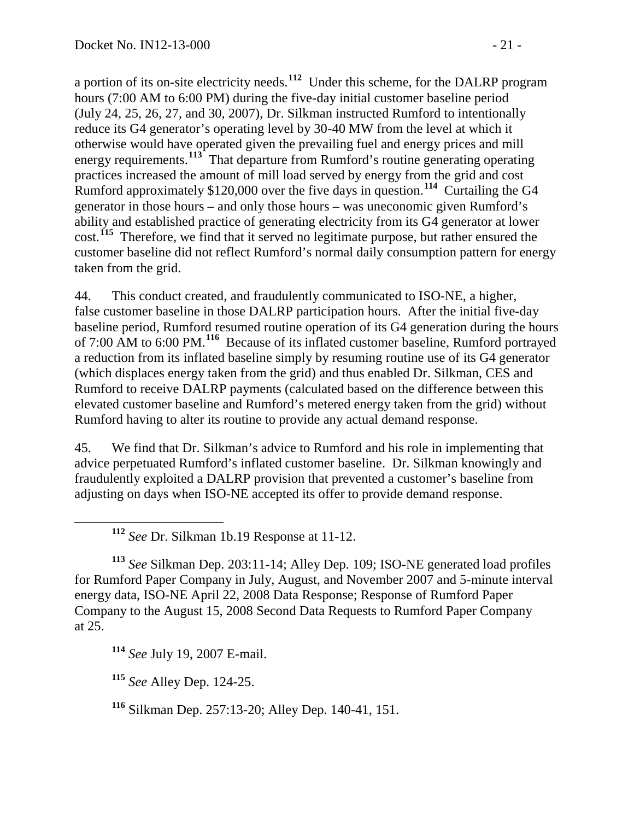a portion of its on-site electricity needs. **[112](#page-20-0)** Under this scheme, for the DALRP program hours (7:00 AM to 6:00 PM) during the five-day initial customer baseline period (July 24, 25, 26, 27, and 30, 2007), Dr. Silkman instructed Rumford to intentionally reduce its G4 generator's operating level by 30-40 MW from the level at which it otherwise would have operated given the prevailing fuel and energy prices and mill energy requirements.**[113](#page-20-1)** That departure from Rumford's routine generating operating practices increased the amount of mill load served by energy from the grid and cost Rumford approximately \$120,000 over the five days in question.**[114](#page-20-2)** Curtailing the G4 generator in those hours – and only those hours – was uneconomic given Rumford's ability and established practice of generating electricity from its G4 generator at lower cost.**[115](#page-20-3)** Therefore, we find that it served no legitimate purpose, but rather ensured the customer baseline did not reflect Rumford's normal daily consumption pattern for energy taken from the grid.

44. This conduct created, and fraudulently communicated to ISO-NE, a higher, false customer baseline in those DALRP participation hours. After the initial five-day baseline period, Rumford resumed routine operation of its G4 generation during the hours of 7:00 AM to 6:00 PM.**[116](#page-20-4)** Because of its inflated customer baseline, Rumford portrayed a reduction from its inflated baseline simply by resuming routine use of its G4 generator (which displaces energy taken from the grid) and thus enabled Dr. Silkman, CES and Rumford to receive DALRP payments (calculated based on the difference between this elevated customer baseline and Rumford's metered energy taken from the grid) without Rumford having to alter its routine to provide any actual demand response.

45. We find that Dr. Silkman's advice to Rumford and his role in implementing that advice perpetuated Rumford's inflated customer baseline. Dr. Silkman knowingly and fraudulently exploited a DALRP provision that prevented a customer's baseline from adjusting on days when ISO-NE accepted its offer to provide demand response.

**<sup>112</sup>** *See* Dr. Silkman 1b.19 Response at 11-12.

<span id="page-20-1"></span><span id="page-20-0"></span>**<sup>113</sup>** *See* Silkman Dep. 203:11-14; Alley Dep. 109; ISO-NE generated load profiles for Rumford Paper Company in July, August, and November 2007 and 5-minute interval energy data, ISO-NE April 22, 2008 Data Response; Response of Rumford Paper Company to the August 15, 2008 Second Data Requests to Rumford Paper Company at 25.

<span id="page-20-2"></span>**<sup>114</sup>** *See* July 19, 2007 E-mail.

<span id="page-20-3"></span>**<sup>115</sup>** *See* Alley Dep. 124-25.

<span id="page-20-4"></span>**<sup>116</sup>** Silkman Dep. 257:13-20; Alley Dep. 140-41, 151.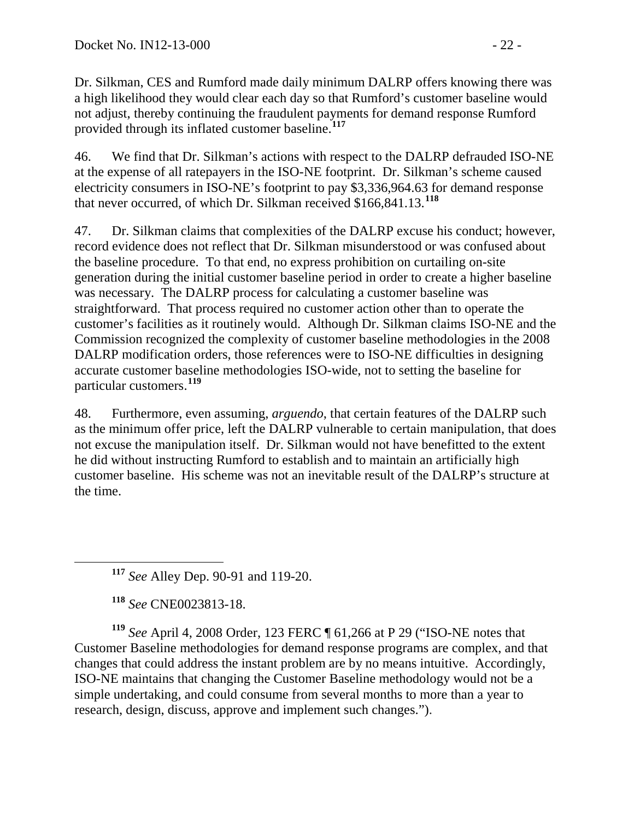Dr. Silkman, CES and Rumford made daily minimum DALRP offers knowing there was a high likelihood they would clear each day so that Rumford's customer baseline would not adjust, thereby continuing the fraudulent payments for demand response Rumford provided through its inflated customer baseline. **[117](#page-21-0)**

46. We find that Dr. Silkman's actions with respect to the DALRP defrauded ISO-NE at the expense of all ratepayers in the ISO-NE footprint. Dr. Silkman's scheme caused electricity consumers in ISO-NE's footprint to pay \$3,336,964.63 for demand response that never occurred, of which Dr. Silkman received \$166,841.13.**[118](#page-21-1)**

47. Dr. Silkman claims that complexities of the DALRP excuse his conduct; however, record evidence does not reflect that Dr. Silkman misunderstood or was confused about the baseline procedure. To that end, no express prohibition on curtailing on-site generation during the initial customer baseline period in order to create a higher baseline was necessary. The DALRP process for calculating a customer baseline was straightforward. That process required no customer action other than to operate the customer's facilities as it routinely would. Although Dr. Silkman claims ISO-NE and the Commission recognized the complexity of customer baseline methodologies in the 2008 DALRP modification orders, those references were to ISO-NE difficulties in designing accurate customer baseline methodologies ISO-wide, not to setting the baseline for particular customers. **[119](#page-21-2)**

48. Furthermore, even assuming, *arguendo*, that certain features of the DALRP such as the minimum offer price, left the DALRP vulnerable to certain manipulation, that does not excuse the manipulation itself. Dr. Silkman would not have benefitted to the extent he did without instructing Rumford to establish and to maintain an artificially high customer baseline. His scheme was not an inevitable result of the DALRP's structure at the time.

**<sup>117</sup>** *See* Alley Dep. 90-91 and 119-20.

**<sup>118</sup>** *See* CNE0023813-18.

<span id="page-21-2"></span><span id="page-21-1"></span><span id="page-21-0"></span>**<sup>119</sup>** *See* April 4, 2008 Order, 123 FERC ¶ 61,266 at P 29 ("ISO-NE notes that Customer Baseline methodologies for demand response programs are complex, and that changes that could address the instant problem are by no means intuitive. Accordingly, ISO-NE maintains that changing the Customer Baseline methodology would not be a simple undertaking, and could consume from several months to more than a year to research, design, discuss, approve and implement such changes.").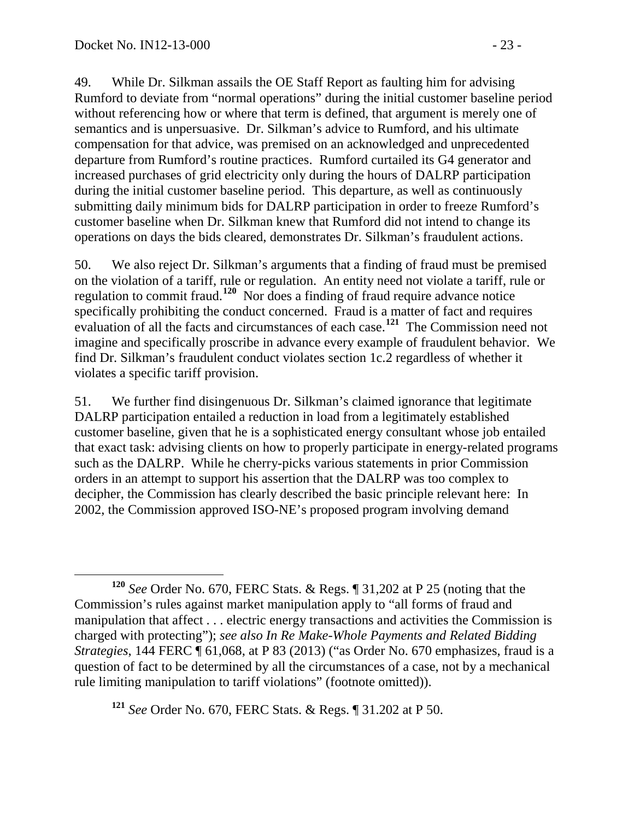49. While Dr. Silkman assails the OE Staff Report as faulting him for advising Rumford to deviate from "normal operations" during the initial customer baseline period without referencing how or where that term is defined, that argument is merely one of semantics and is unpersuasive. Dr. Silkman's advice to Rumford, and his ultimate compensation for that advice, was premised on an acknowledged and unprecedented departure from Rumford's routine practices. Rumford curtailed its G4 generator and increased purchases of grid electricity only during the hours of DALRP participation during the initial customer baseline period. This departure, as well as continuously submitting daily minimum bids for DALRP participation in order to freeze Rumford's customer baseline when Dr. Silkman knew that Rumford did not intend to change its operations on days the bids cleared, demonstrates Dr. Silkman's fraudulent actions.

50. We also reject Dr. Silkman's arguments that a finding of fraud must be premised on the violation of a tariff, rule or regulation. An entity need not violate a tariff, rule or regulation to commit fraud.**[120](#page-22-0)** Nor does a finding of fraud require advance notice specifically prohibiting the conduct concerned. Fraud is a matter of fact and requires evaluation of all the facts and circumstances of each case.**[121](#page-22-1)** The Commission need not imagine and specifically proscribe in advance every example of fraudulent behavior. We find Dr. Silkman's fraudulent conduct violates section 1c.2 regardless of whether it violates a specific tariff provision.

51. We further find disingenuous Dr. Silkman's claimed ignorance that legitimate DALRP participation entailed a reduction in load from a legitimately established customer baseline, given that he is a sophisticated energy consultant whose job entailed that exact task: advising clients on how to properly participate in energy-related programs such as the DALRP. While he cherry-picks various statements in prior Commission orders in an attempt to support his assertion that the DALRP was too complex to decipher, the Commission has clearly described the basic principle relevant here: In 2002, the Commission approved ISO-NE's proposed program involving demand

<span id="page-22-1"></span>**<sup>121</sup>** *See* Order No. 670, FERC Stats. & Regs. ¶ 31.202 at P 50.

<span id="page-22-0"></span>**<sup>120</sup>** *See* Order No. 670, FERC Stats. & Regs. ¶ 31,202 at P 25 (noting that the Commission's rules against market manipulation apply to "all forms of fraud and manipulation that affect . . . electric energy transactions and activities the Commission is charged with protecting"); *see also In Re Make-Whole Payments and Related Bidding Strategies*, 144 FERC ¶ 61,068, at P 83 (2013) ("as Order No. 670 emphasizes, fraud is a question of fact to be determined by all the circumstances of a case, not by a mechanical rule limiting manipulation to tariff violations" (footnote omitted)).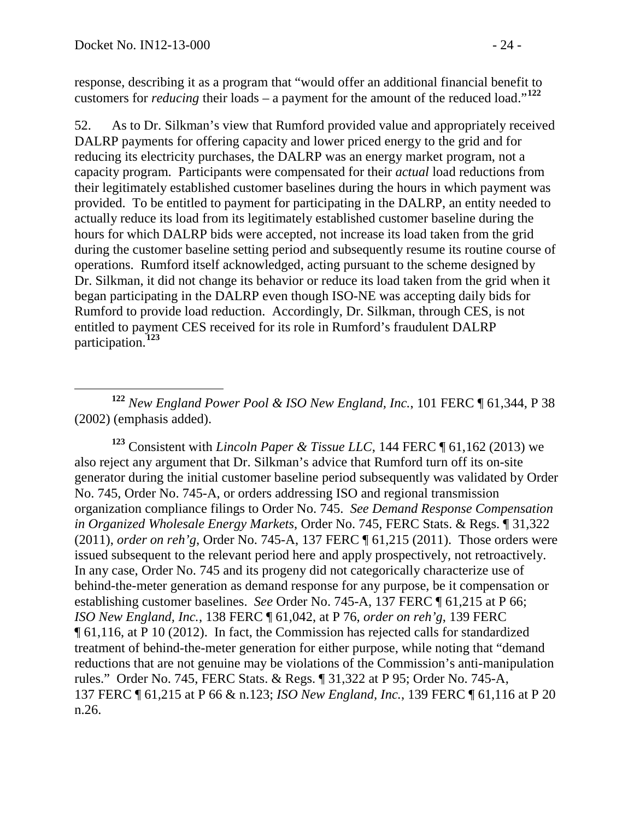response, describing it as a program that "would offer an additional financial benefit to customers for *reducing* their loads – a payment for the amount of the reduced load."**[122](#page-23-0)**

52. As to Dr. Silkman's view that Rumford provided value and appropriately received DALRP payments for offering capacity and lower priced energy to the grid and for reducing its electricity purchases, the DALRP was an energy market program, not a capacity program. Participants were compensated for their *actual* load reductions from their legitimately established customer baselines during the hours in which payment was provided. To be entitled to payment for participating in the DALRP, an entity needed to actually reduce its load from its legitimately established customer baseline during the hours for which DALRP bids were accepted, not increase its load taken from the grid during the customer baseline setting period and subsequently resume its routine course of operations. Rumford itself acknowledged, acting pursuant to the scheme designed by Dr. Silkman, it did not change its behavior or reduce its load taken from the grid when it began participating in the DALRP even though ISO-NE was accepting daily bids for Rumford to provide load reduction. Accordingly, Dr. Silkman, through CES, is not entitled to payment CES received for its role in Rumford's fraudulent DALRP participation.**[123](#page-23-1)**

<span id="page-23-0"></span> **<sup>122</sup>** *New England Power Pool & ISO New England, Inc.*, 101 FERC ¶ 61,344, P <sup>38</sup> (2002) (emphasis added).

<span id="page-23-1"></span>**<sup>123</sup>** Consistent with *Lincoln Paper & Tissue LLC*, 144 FERC ¶ 61,162 (2013) we also reject any argument that Dr. Silkman's advice that Rumford turn off its on-site generator during the initial customer baseline period subsequently was validated by Order No. 745, Order No. 745-A, or orders addressing ISO and regional transmission organization compliance filings to Order No. 745. *See Demand Response Compensation in Organized Wholesale Energy Markets*, Order No. 745, FERC Stats. & Regs. ¶ 31,322 (2011), *order on reh'g*, Order No. 745-A, 137 FERC ¶ 61,215 (2011). Those orders were issued subsequent to the relevant period here and apply prospectively, not retroactively. In any case, Order No. 745 and its progeny did not categorically characterize use of behind-the-meter generation as demand response for any purpose, be it compensation or establishing customer baselines. *See* Order No. 745-A, 137 FERC ¶ 61,215 at P 66; *ISO New England, Inc.*, 138 FERC ¶ 61,042, at P 76, *order on reh'g*, 139 FERC ¶ 61,116, at P 10 (2012). In fact, the Commission has rejected calls for standardized treatment of behind-the-meter generation for either purpose, while noting that "demand reductions that are not genuine may be violations of the Commission's anti-manipulation rules." Order No. 745, FERC Stats. & Regs. ¶ 31,322 at P 95; Order No. 745-A, 137 FERC ¶ 61,215 at P 66 & n.123; *ISO New England, Inc.*, 139 FERC ¶ 61,116 at P 20 n.26.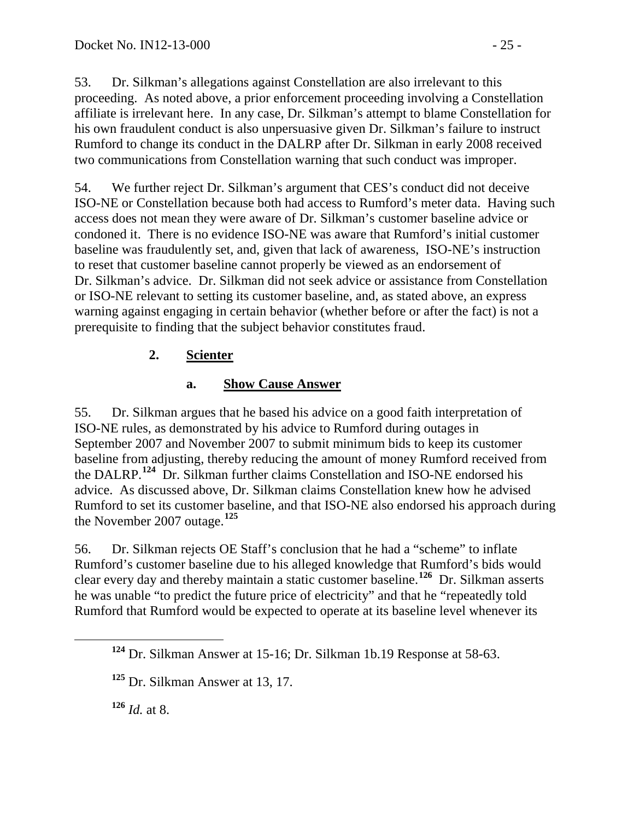53. Dr. Silkman's allegations against Constellation are also irrelevant to this proceeding. As noted above, a prior enforcement proceeding involving a Constellation affiliate is irrelevant here. In any case, Dr. Silkman's attempt to blame Constellation for his own fraudulent conduct is also unpersuasive given Dr. Silkman's failure to instruct Rumford to change its conduct in the DALRP after Dr. Silkman in early 2008 received two communications from Constellation warning that such conduct was improper.

54. We further reject Dr. Silkman's argument that CES's conduct did not deceive ISO-NE or Constellation because both had access to Rumford's meter data. Having such access does not mean they were aware of Dr. Silkman's customer baseline advice or condoned it. There is no evidence ISO-NE was aware that Rumford's initial customer baseline was fraudulently set, and, given that lack of awareness, ISO-NE's instruction to reset that customer baseline cannot properly be viewed as an endorsement of Dr. Silkman's advice. Dr. Silkman did not seek advice or assistance from Constellation or ISO-NE relevant to setting its customer baseline, and, as stated above, an express warning against engaging in certain behavior (whether before or after the fact) is not a prerequisite to finding that the subject behavior constitutes fraud.

## **2. Scienter**

## **a. Show Cause Answer**

55. Dr. Silkman argues that he based his advice on a good faith interpretation of ISO-NE rules, as demonstrated by his advice to Rumford during outages in September 2007 and November 2007 to submit minimum bids to keep its customer baseline from adjusting, thereby reducing the amount of money Rumford received from the DALRP.**[124](#page-24-0)** Dr. Silkman further claims Constellation and ISO-NE endorsed his advice. As discussed above, Dr. Silkman claims Constellation knew how he advised Rumford to set its customer baseline, and that ISO-NE also endorsed his approach during the November 2007 outage.**[125](#page-24-1)**

56. Dr. Silkman rejects OE Staff's conclusion that he had a "scheme" to inflate Rumford's customer baseline due to his alleged knowledge that Rumford's bids would clear every day and thereby maintain a static customer baseline.**[126](#page-24-2)** Dr. Silkman asserts he was unable "to predict the future price of electricity" and that he "repeatedly told Rumford that Rumford would be expected to operate at its baseline level whenever its

<span id="page-24-2"></span>**<sup>126</sup>** *Id.* at 8.

<span id="page-24-0"></span>**<sup>124</sup>** Dr. Silkman Answer at 15-16; Dr. Silkman 1b.19 Response at 58-63.

<span id="page-24-1"></span>**<sup>125</sup>** Dr. Silkman Answer at 13, 17.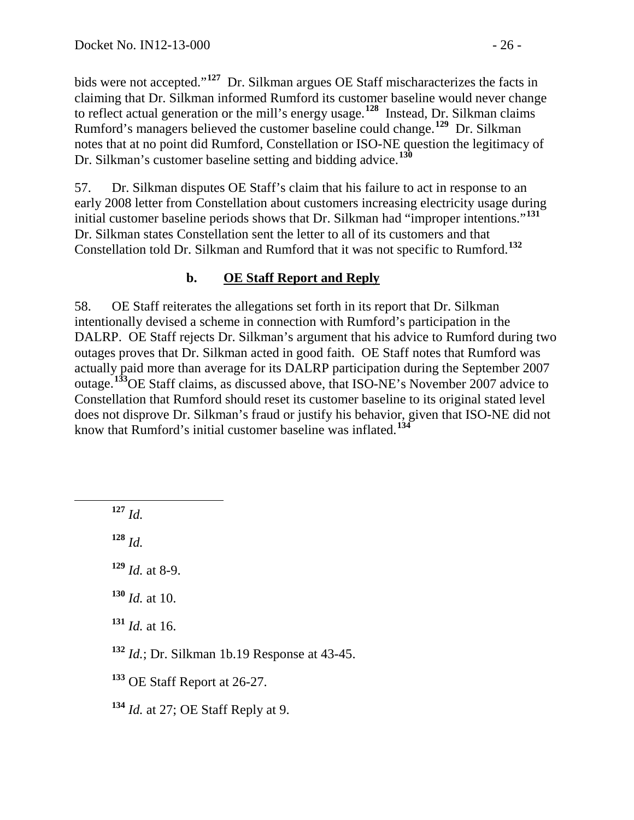bids were not accepted."**[127](#page-25-0)** Dr. Silkman argues OE Staff mischaracterizes the facts in claiming that Dr. Silkman informed Rumford its customer baseline would never change to reflect actual generation or the mill's energy usage.**[128](#page-25-1)** Instead, Dr. Silkman claims Rumford's managers believed the customer baseline could change.**[129](#page-25-2)** Dr. Silkman notes that at no point did Rumford, Constellation or ISO-NE question the legitimacy of Dr. Silkman's customer baseline setting and bidding advice.**[130](#page-25-3)**

57. Dr. Silkman disputes OE Staff's claim that his failure to act in response to an early 2008 letter from Constellation about customers increasing electricity usage during initial customer baseline periods shows that Dr. Silkman had "improper intentions."<sup>[131](#page-25-4)</sup> Dr. Silkman states Constellation sent the letter to all of its customers and that Constellation told Dr. Silkman and Rumford that it was not specific to Rumford.**[132](#page-25-5)**

## **b. OE Staff Report and Reply**

58. OE Staff reiterates the allegations set forth in its report that Dr. Silkman intentionally devised a scheme in connection with Rumford's participation in the DALRP. OE Staff rejects Dr. Silkman's argument that his advice to Rumford during two outages proves that Dr. Silkman acted in good faith. OE Staff notes that Rumford was actually paid more than average for its DALRP participation during the September 2007 outage.**[133](#page-25-6)**OE Staff claims, as discussed above, that ISO-NE's November 2007 advice to Constellation that Rumford should reset its customer baseline to its original stated level does not disprove Dr. Silkman's fraud or justify his behavior, given that ISO-NE did not know that Rumford's initial customer baseline was inflated.**[134](#page-25-7)**

<span id="page-25-0"></span>**<sup>127</sup>** *Id.*

<span id="page-25-1"></span>**<sup>128</sup>** *Id.*

<span id="page-25-2"></span>**<sup>129</sup>** *Id.* at 8-9.

<span id="page-25-3"></span>**<sup>130</sup>** *Id.* at 10.

<span id="page-25-4"></span>**<sup>131</sup>** *Id.* at 16.

<span id="page-25-5"></span>**<sup>132</sup>** *Id.*; Dr. Silkman 1b.19 Response at 43-45.

<span id="page-25-6"></span>**<sup>133</sup>** OE Staff Report at 26-27.

<span id="page-25-7"></span>**<sup>134</sup>** *Id.* at 27; OE Staff Reply at 9.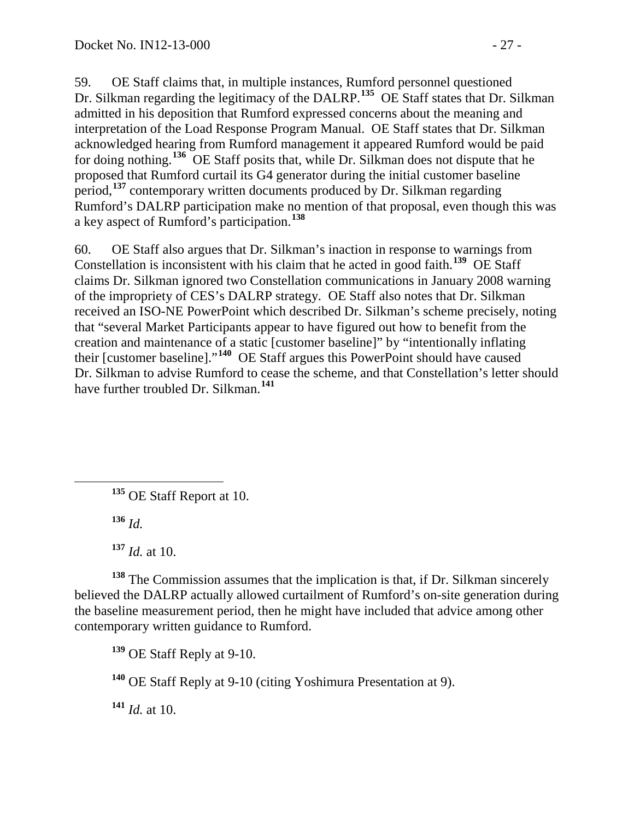59. OE Staff claims that, in multiple instances, Rumford personnel questioned Dr. Silkman regarding the legitimacy of the DALRP.<sup>[135](#page-26-0)</sup> OE Staff states that Dr. Silkman admitted in his deposition that Rumford expressed concerns about the meaning and interpretation of the Load Response Program Manual. OE Staff states that Dr. Silkman acknowledged hearing from Rumford management it appeared Rumford would be paid for doing nothing.**[136](#page-26-1)** OE Staff posits that, while Dr. Silkman does not dispute that he proposed that Rumford curtail its G4 generator during the initial customer baseline period,**[137](#page-26-2)** contemporary written documents produced by Dr. Silkman regarding Rumford's DALRP participation make no mention of that proposal, even though this was a key aspect of Rumford's participation.**[138](#page-26-3)**

60. OE Staff also argues that Dr. Silkman's inaction in response to warnings from Constellation is inconsistent with his claim that he acted in good faith.**[139](#page-26-4)** OE Staff claims Dr. Silkman ignored two Constellation communications in January 2008 warning of the impropriety of CES's DALRP strategy. OE Staff also notes that Dr. Silkman received an ISO-NE PowerPoint which described Dr. Silkman's scheme precisely, noting that "several Market Participants appear to have figured out how to benefit from the creation and maintenance of a static [customer baseline]" by "intentionally inflating their [customer baseline]."**[140](#page-26-5)** OE Staff argues this PowerPoint should have caused Dr. Silkman to advise Rumford to cease the scheme, and that Constellation's letter should have further troubled Dr. Silkman. **[141](#page-26-6)**

<span id="page-26-0"></span>**<sup>135</sup>** OE Staff Report at 10.

**<sup>136</sup>** *Id.*

**<sup>137</sup>** *Id.* at 10.

<span id="page-26-4"></span><span id="page-26-3"></span><span id="page-26-2"></span><span id="page-26-1"></span>**<sup>138</sup>** The Commission assumes that the implication is that, if Dr. Silkman sincerely believed the DALRP actually allowed curtailment of Rumford's on-site generation during the baseline measurement period, then he might have included that advice among other contemporary written guidance to Rumford.

**<sup>139</sup>** OE Staff Reply at 9-10.

<span id="page-26-5"></span>**<sup>140</sup>** OE Staff Reply at 9-10 (citing Yoshimura Presentation at 9).

<span id="page-26-6"></span>**<sup>141</sup>** *Id.* at 10.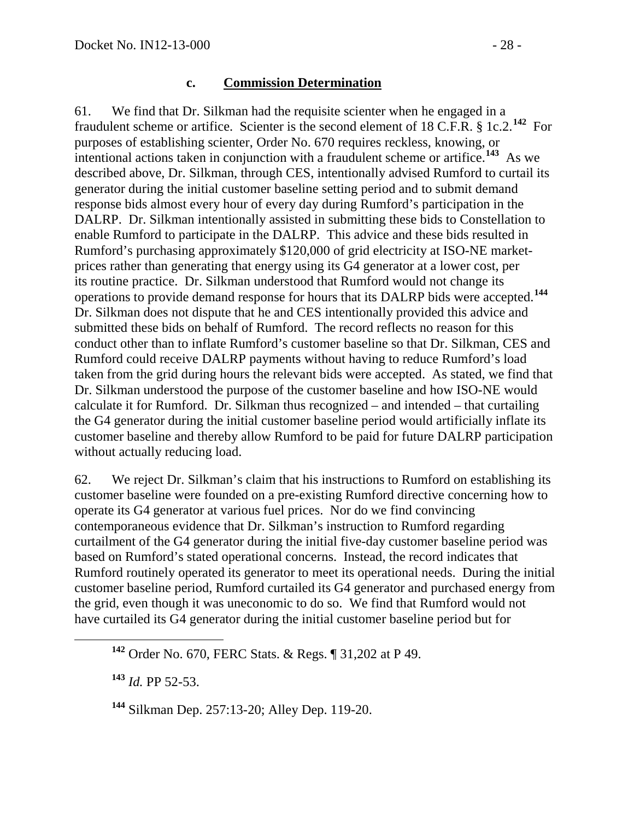#### **c. Commission Determination**

61. We find that Dr. Silkman had the requisite scienter when he engaged in a fraudulent scheme or artifice. Scienter is the second element of 18 C.F.R. § 1c.2.**[142](#page-27-0)** For purposes of establishing scienter, Order No. 670 requires reckless, knowing, or intentional actions taken in conjunction with a fraudulent scheme or artifice.**[143](#page-27-1)** As we described above, Dr. Silkman, through CES, intentionally advised Rumford to curtail its generator during the initial customer baseline setting period and to submit demand response bids almost every hour of every day during Rumford's participation in the DALRP. Dr. Silkman intentionally assisted in submitting these bids to Constellation to enable Rumford to participate in the DALRP. This advice and these bids resulted in Rumford's purchasing approximately \$120,000 of grid electricity at ISO-NE marketprices rather than generating that energy using its G4 generator at a lower cost, per its routine practice. Dr. Silkman understood that Rumford would not change its operations to provide demand response for hours that its DALRP bids were accepted. **[144](#page-27-2)** Dr. Silkman does not dispute that he and CES intentionally provided this advice and submitted these bids on behalf of Rumford. The record reflects no reason for this conduct other than to inflate Rumford's customer baseline so that Dr. Silkman, CES and Rumford could receive DALRP payments without having to reduce Rumford's load taken from the grid during hours the relevant bids were accepted. As stated, we find that Dr. Silkman understood the purpose of the customer baseline and how ISO-NE would calculate it for Rumford. Dr. Silkman thus recognized – and intended – that curtailing the G4 generator during the initial customer baseline period would artificially inflate its customer baseline and thereby allow Rumford to be paid for future DALRP participation without actually reducing load.

62. We reject Dr. Silkman's claim that his instructions to Rumford on establishing its customer baseline were founded on a pre-existing Rumford directive concerning how to operate its G4 generator at various fuel prices. Nor do we find convincing contemporaneous evidence that Dr. Silkman's instruction to Rumford regarding curtailment of the G4 generator during the initial five-day customer baseline period was based on Rumford's stated operational concerns. Instead, the record indicates that Rumford routinely operated its generator to meet its operational needs. During the initial customer baseline period, Rumford curtailed its G4 generator and purchased energy from the grid, even though it was uneconomic to do so. We find that Rumford would not have curtailed its G4 generator during the initial customer baseline period but for

<span id="page-27-1"></span>**<sup>143</sup>** *Id.* PP 52-53.

<span id="page-27-2"></span>**<sup>144</sup>** Silkman Dep. 257:13-20; Alley Dep. 119-20.

<span id="page-27-0"></span>**<sup>142</sup>** Order No. 670, FERC Stats. & Regs. ¶ 31,202 at P 49.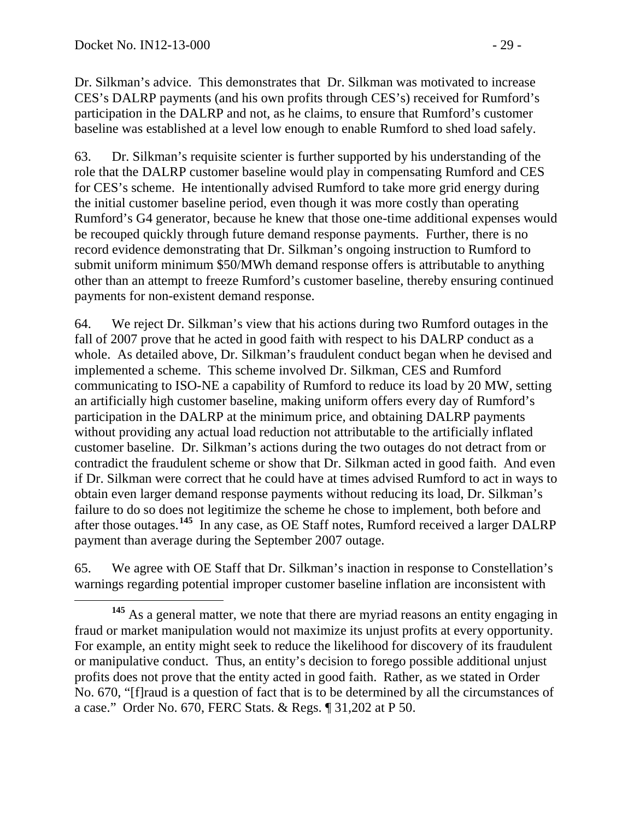Dr. Silkman's advice. This demonstrates that Dr. Silkman was motivated to increase CES's DALRP payments (and his own profits through CES's) received for Rumford's participation in the DALRP and not, as he claims, to ensure that Rumford's customer baseline was established at a level low enough to enable Rumford to shed load safely.

63. Dr. Silkman's requisite scienter is further supported by his understanding of the role that the DALRP customer baseline would play in compensating Rumford and CES for CES's scheme. He intentionally advised Rumford to take more grid energy during the initial customer baseline period, even though it was more costly than operating Rumford's G4 generator, because he knew that those one-time additional expenses would be recouped quickly through future demand response payments. Further, there is no record evidence demonstrating that Dr. Silkman's ongoing instruction to Rumford to submit uniform minimum \$50/MWh demand response offers is attributable to anything other than an attempt to freeze Rumford's customer baseline, thereby ensuring continued payments for non-existent demand response.

64. We reject Dr. Silkman's view that his actions during two Rumford outages in the fall of 2007 prove that he acted in good faith with respect to his DALRP conduct as a whole. As detailed above, Dr. Silkman's fraudulent conduct began when he devised and implemented a scheme. This scheme involved Dr. Silkman, CES and Rumford communicating to ISO-NE a capability of Rumford to reduce its load by 20 MW, setting an artificially high customer baseline, making uniform offers every day of Rumford's participation in the DALRP at the minimum price, and obtaining DALRP payments without providing any actual load reduction not attributable to the artificially inflated customer baseline. Dr. Silkman's actions during the two outages do not detract from or contradict the fraudulent scheme or show that Dr. Silkman acted in good faith. And even if Dr. Silkman were correct that he could have at times advised Rumford to act in ways to obtain even larger demand response payments without reducing its load, Dr. Silkman's failure to do so does not legitimize the scheme he chose to implement, both before and after those outages. **[145](#page-28-0)** In any case, as OE Staff notes, Rumford received a larger DALRP payment than average during the September 2007 outage.

<span id="page-28-1"></span>65. We agree with OE Staff that Dr. Silkman's inaction in response to Constellation's warnings regarding potential improper customer baseline inflation are inconsistent with

<span id="page-28-0"></span>**<sup>145</sup>** As a general matter, we note that there are myriad reasons an entity engaging in fraud or market manipulation would not maximize its unjust profits at every opportunity. For example, an entity might seek to reduce the likelihood for discovery of its fraudulent or manipulative conduct. Thus, an entity's decision to forego possible additional unjust profits does not prove that the entity acted in good faith. Rather, as we stated in Order No. 670, "[f]raud is a question of fact that is to be determined by all the circumstances of a case." Order No. 670, FERC Stats. & Regs. ¶ 31,202 at P 50.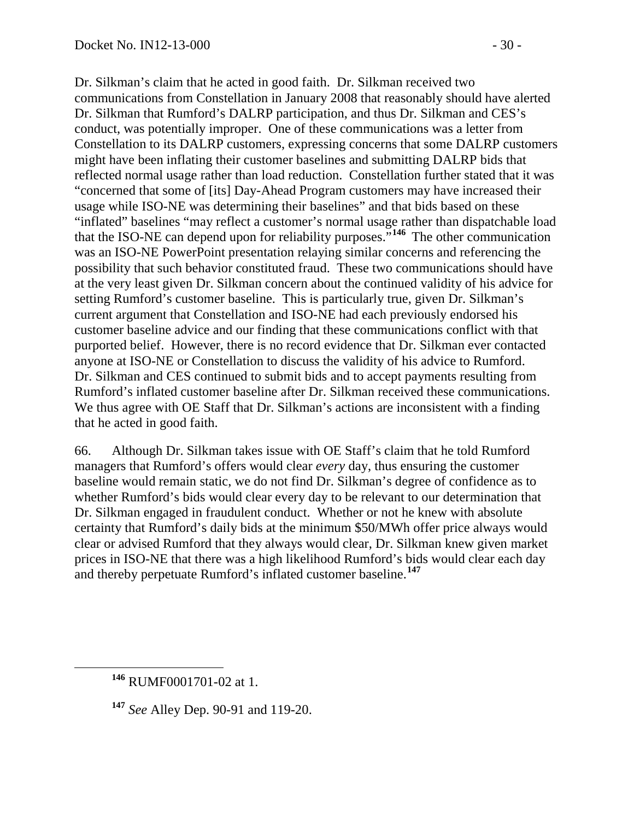Dr. Silkman's claim that he acted in good faith. Dr. Silkman received two communications from Constellation in January 2008 that reasonably should have alerted Dr. Silkman that Rumford's DALRP participation, and thus Dr. Silkman and CES's conduct, was potentially improper. One of these communications was a letter from Constellation to its DALRP customers, expressing concerns that some DALRP customers might have been inflating their customer baselines and submitting DALRP bids that reflected normal usage rather than load reduction. Constellation further stated that it was "concerned that some of [its] Day-Ahead Program customers may have increased their usage while ISO-NE was determining their baselines" and that bids based on these "inflated" baselines "may reflect a customer's normal usage rather than dispatchable load that the ISO-NE can depend upon for reliability purposes."**[146](#page-29-0)** The other communication was an ISO-NE PowerPoint presentation relaying similar concerns and referencing the possibility that such behavior constituted fraud. These two communications should have at the very least given Dr. Silkman concern about the continued validity of his advice for setting Rumford's customer baseline. This is particularly true, given Dr. Silkman's current argument that Constellation and ISO-NE had each previously endorsed his customer baseline advice and our finding that these communications conflict with that purported belief. However, there is no record evidence that Dr. Silkman ever contacted anyone at ISO-NE or Constellation to discuss the validity of his advice to Rumford. Dr. Silkman and CES continued to submit bids and to accept payments resulting from Rumford's inflated customer baseline after Dr. Silkman received these communications. We thus agree with OE Staff that Dr. Silkman's actions are inconsistent with a finding that he acted in good faith.

66. Although Dr. Silkman takes issue with OE Staff's claim that he told Rumford managers that Rumford's offers would clear *every* day, thus ensuring the customer baseline would remain static, we do not find Dr. Silkman's degree of confidence as to whether Rumford's bids would clear every day to be relevant to our determination that Dr. Silkman engaged in fraudulent conduct. Whether or not he knew with absolute certainty that Rumford's daily bids at the minimum \$50/MWh offer price always would clear or advised Rumford that they always would clear, Dr. Silkman knew given market prices in ISO-NE that there was a high likelihood Rumford's bids would clear each day and thereby perpetuate Rumford's inflated customer baseline.**[147](#page-29-1)**

<span id="page-29-0"></span>**<sup>146</sup>** RUMF0001701-02 at 1.

<span id="page-29-1"></span>**<sup>147</sup>** *See* Alley Dep. 90-91 and 119-20.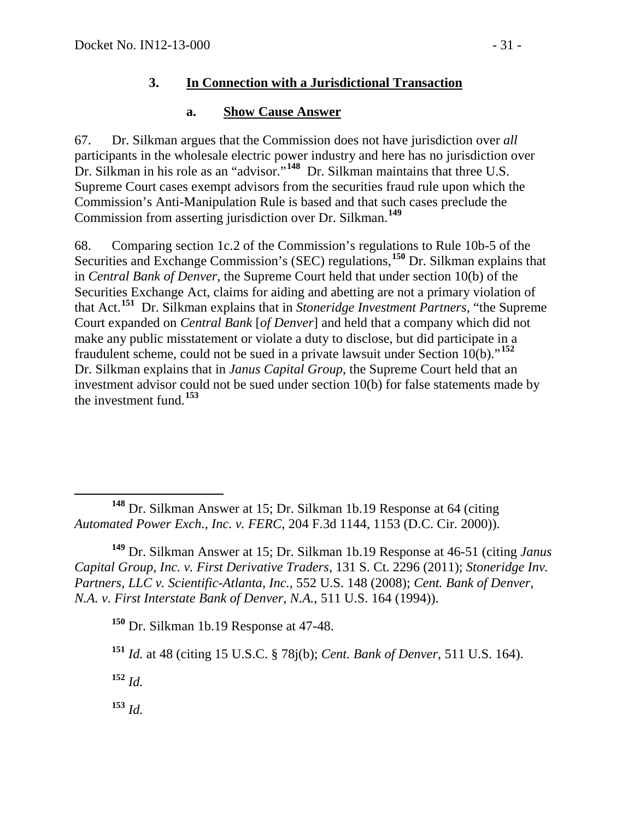### **3. In Connection with a Jurisdictional Transaction**

### **a. Show Cause Answer**

67. Dr. Silkman argues that the Commission does not have jurisdiction over *all* participants in the wholesale electric power industry and here has no jurisdiction over Dr. Silkman in his role as an "advisor."**[148](#page-30-0)** Dr. Silkman maintains that three U.S. Supreme Court cases exempt advisors from the securities fraud rule upon which the Commission's Anti-Manipulation Rule is based and that such cases preclude the Commission from asserting jurisdiction over Dr. Silkman. **[149](#page-30-1)**

68. Comparing section 1c.2 of the Commission's regulations to Rule 10b-5 of the Securities and Exchange Commission's (SEC) regulations, **[150](#page-30-2)** Dr. Silkman explains that in *Central Bank of Denver*, the Supreme Court held that under section 10(b) of the Securities Exchange Act, claims for aiding and abetting are not a primary violation of that Act. **[151](#page-30-3)** Dr. Silkman explains that in *Stoneridge Investment Partners*, "the Supreme Court expanded on *Central Bank* [*of Denver*] and held that a company which did not make any public misstatement or violate a duty to disclose, but did participate in a fraudulent scheme, could not be sued in a private lawsuit under Section 10(b)."**[152](#page-30-4)** Dr. Silkman explains that in *Janus Capital Group*, the Supreme Court held that an investment advisor could not be sued under section 10(b) for false statements made by the investment fund.**[153](#page-30-5)**

<span id="page-30-2"></span><span id="page-30-1"></span>**<sup>149</sup>** Dr. Silkman Answer at 15; Dr. Silkman 1b.19 Response at 46-51 (citing *Janus Capital Group, Inc. v. First Derivative Traders*, 131 S. Ct. 2296 (2011); *Stoneridge Inv. Partners, LLC v. Scientific-Atlanta, Inc.*, 552 U.S. 148 (2008); *Cent. Bank of Denver, N.A. v. First Interstate Bank of Denver, N.A.*, 511 U.S. 164 (1994)).

**<sup>150</sup>** Dr. Silkman 1b.19 Response at 47-48.

<span id="page-30-4"></span>**<sup>152</sup>** *Id.*

<span id="page-30-5"></span>**<sup>153</sup>** *Id.*

<span id="page-30-0"></span>**<sup>148</sup>** Dr. Silkman Answer at 15; Dr. Silkman 1b.19 Response at 64 (citing *Automated Power Exch., Inc. v. FERC*, 204 F.3d 1144, 1153 (D.C. Cir. 2000)).

<span id="page-30-3"></span>**<sup>151</sup>** *Id.* at 48 (citing 15 U.S.C. § 78j(b); *Cent. Bank of Denver*, 511 U.S. 164).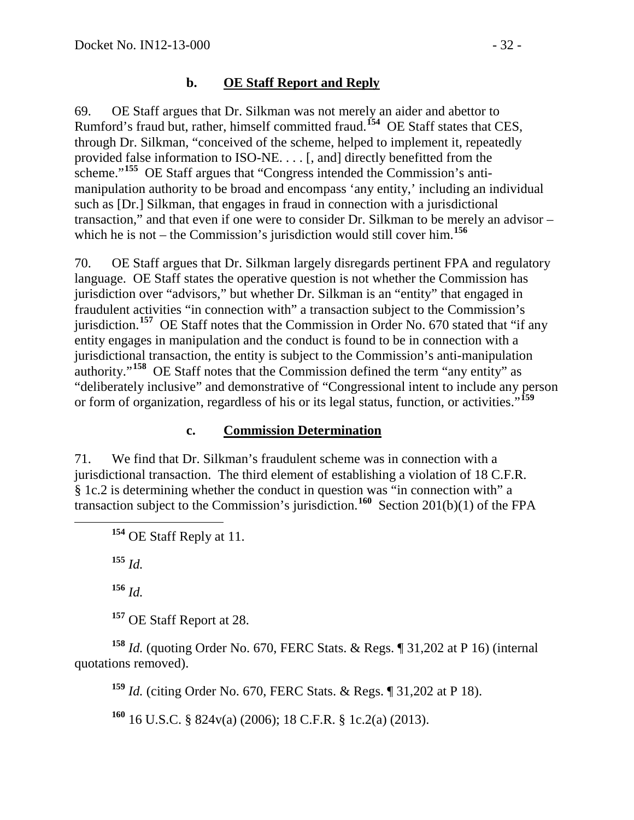### **b. OE Staff Report and Reply**

69. OE Staff argues that Dr. Silkman was not merely an aider and abettor to Rumford's fraud but, rather, himself committed fraud.**[154](#page-31-0)** OE Staff states that CES, through Dr. Silkman, "conceived of the scheme, helped to implement it, repeatedly provided false information to ISO-NE. . . . [, and] directly benefitted from the scheme."<sup>[155](#page-31-1)</sup> OE Staff argues that "Congress intended the Commission's antimanipulation authority to be broad and encompass 'any entity,' including an individual such as [Dr.] Silkman, that engages in fraud in connection with a jurisdictional transaction," and that even if one were to consider Dr. Silkman to be merely an advisor – which he is not – the Commission's jurisdiction would still cover him. **[156](#page-31-2)**

70. OE Staff argues that Dr. Silkman largely disregards pertinent FPA and regulatory language. OE Staff states the operative question is not whether the Commission has jurisdiction over "advisors," but whether Dr. Silkman is an "entity" that engaged in fraudulent activities "in connection with" a transaction subject to the Commission's jurisdiction.<sup>[157](#page-31-3)</sup> OE Staff notes that the Commission in Order No. 670 stated that "if any entity engages in manipulation and the conduct is found to be in connection with a jurisdictional transaction, the entity is subject to the Commission's anti-manipulation authority."**[158](#page-31-4)** OE Staff notes that the Commission defined the term "any entity" as "deliberately inclusive" and demonstrative of "Congressional intent to include any person or form of organization, regardless of his or its legal status, function, or activities."**[159](#page-31-5)**

### **c. Commission Determination**

<span id="page-31-0"></span>71. We find that Dr. Silkman's fraudulent scheme was in connection with a jurisdictional transaction. The third element of establishing a violation of 18 C.F.R. § 1c.2 is determining whether the conduct in question was "in connection with" a transaction subject to the Commission's jurisdiction.**[160](#page-31-6)** Section 201(b)(1) of the FPA

**<sup>154</sup>** OE Staff Reply at 11.

<span id="page-31-1"></span>**<sup>155</sup>** *Id.*

**<sup>156</sup>** *Id.*

**<sup>157</sup>** OE Staff Report at 28.

<span id="page-31-6"></span><span id="page-31-5"></span><span id="page-31-4"></span><span id="page-31-3"></span><span id="page-31-2"></span>**<sup>158</sup>** *Id.* (quoting Order No. 670, FERC Stats. & Regs. ¶ 31,202 at P 16) (internal quotations removed).

**<sup>159</sup>** *Id.* (citing Order No. 670, FERC Stats. & Regs. ¶ 31,202 at P 18).

**<sup>160</sup>** 16 U.S.C. § 824v(a) (2006); 18 C.F.R. § 1c.2(a) (2013).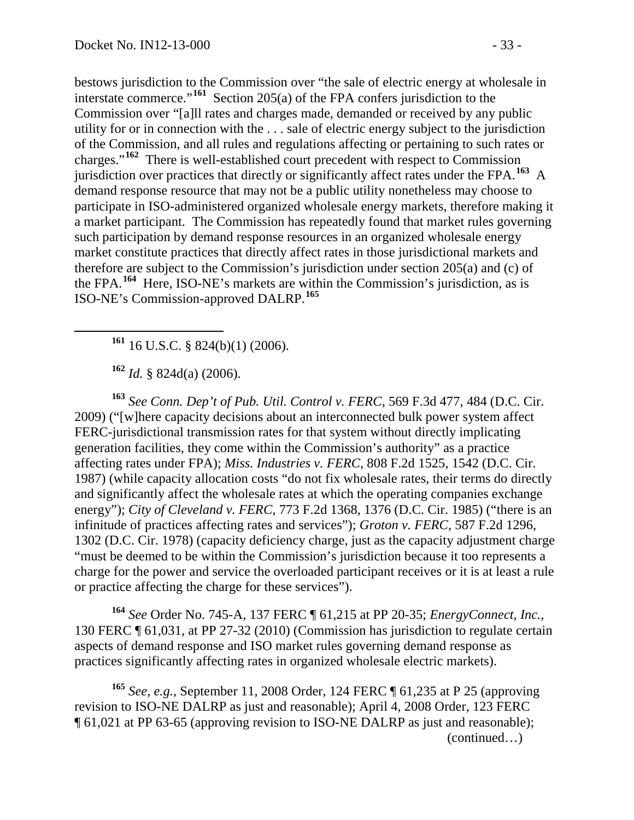bestows jurisdiction to the Commission over "the sale of electric energy at wholesale in interstate commerce."**[161](#page-32-0)** Section 205(a) of the FPA confers jurisdiction to the Commission over "[a]ll rates and charges made, demanded or received by any public utility for or in connection with the . . . sale of electric energy subject to the jurisdiction of the Commission, and all rules and regulations affecting or pertaining to such rates or charges."**[162](#page-32-1)** There is well-established court precedent with respect to Commission jurisdiction over practices that directly or significantly affect rates under the FPA. **[163](#page-32-2)** A demand response resource that may not be a public utility nonetheless may choose to participate in ISO-administered organized wholesale energy markets, therefore making it a market participant. The Commission has repeatedly found that market rules governing such participation by demand response resources in an organized wholesale energy market constitute practices that directly affect rates in those jurisdictional markets and therefore are subject to the Commission's jurisdiction under section 205(a) and (c) of the FPA.**[164](#page-32-3)** Here, ISO-NE's markets are within the Commission's jurisdiction, as is ISO-NE's Commission-approved DALRP.**[165](#page-32-4)**

**<sup>161</sup>** 16 U.S.C. § 824(b)(1) (2006).

**<sup>162</sup>** *Id.* § 824d(a) (2006).

<span id="page-32-2"></span><span id="page-32-1"></span><span id="page-32-0"></span>**<sup>163</sup>** *See Conn. Dep't of Pub. Util. Control v. FERC*, 569 F.3d 477, 484 (D.C. Cir. 2009) ("[w]here capacity decisions about an interconnected bulk power system affect FERC-jurisdictional transmission rates for that system without directly implicating generation facilities, they come within the Commission's authority" as a practice affecting rates under FPA); *Miss. Industries v. FERC*, 808 F.2d 1525, 1542 (D.C. Cir. 1987) (while capacity allocation costs "do not fix wholesale rates, their terms do directly and significantly affect the wholesale rates at which the operating companies exchange energy"); *City of Cleveland v. FERC*, 773 F.2d 1368, 1376 (D.C. Cir. 1985) ("there is an infinitude of practices affecting rates and services"); *Groton v. FERC*, 587 F.2d 1296, 1302 (D.C. Cir. 1978) (capacity deficiency charge, just as the capacity adjustment charge "must be deemed to be within the Commission's jurisdiction because it too represents a charge for the power and service the overloaded participant receives or it is at least a rule or practice affecting the charge for these services").

<span id="page-32-3"></span>**<sup>164</sup>** *See* Order No. 745-A, 137 FERC ¶ 61,215 at PP 20-35; *EnergyConnect, Inc.*, 130 FERC ¶ 61,031, at PP 27-32 (2010) (Commission has jurisdiction to regulate certain aspects of demand response and ISO market rules governing demand response as practices significantly affecting rates in organized wholesale electric markets).

<span id="page-32-4"></span>**<sup>165</sup>** *See, e.g.*, September 11, 2008 Order, 124 FERC ¶ 61,235 at P 25 (approving revision to ISO-NE DALRP as just and reasonable); April 4, 2008 Order, 123 FERC ¶ 61,021 at PP 63-65 (approving revision to ISO-NE DALRP as just and reasonable); (continued…)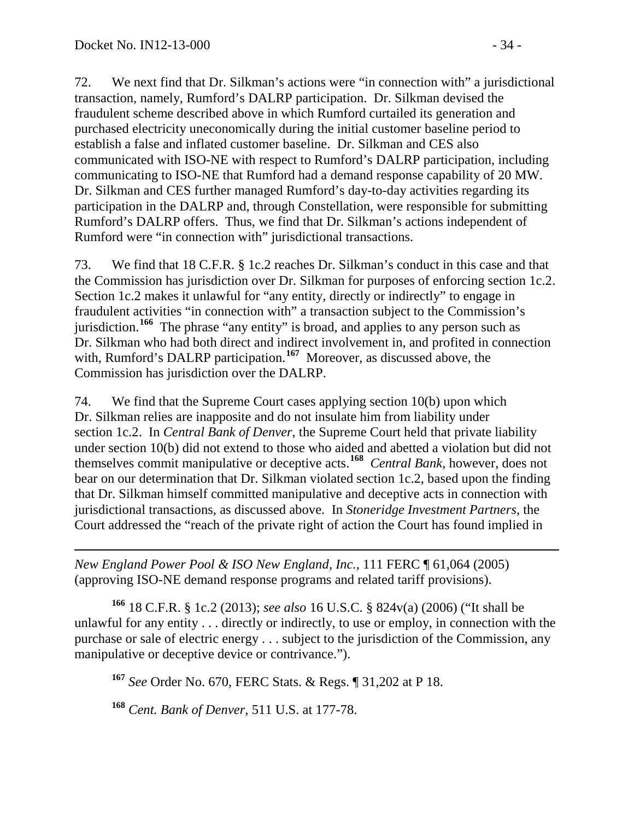72. We next find that Dr. Silkman's actions were "in connection with" a jurisdictional transaction, namely, Rumford's DALRP participation. Dr. Silkman devised the fraudulent scheme described above in which Rumford curtailed its generation and purchased electricity uneconomically during the initial customer baseline period to establish a false and inflated customer baseline. Dr. Silkman and CES also communicated with ISO-NE with respect to Rumford's DALRP participation, including communicating to ISO-NE that Rumford had a demand response capability of 20 MW. Dr. Silkman and CES further managed Rumford's day-to-day activities regarding its participation in the DALRP and, through Constellation, were responsible for submitting Rumford's DALRP offers. Thus, we find that Dr. Silkman's actions independent of Rumford were "in connection with" jurisdictional transactions.

73. We find that 18 C.F.R. § 1c.2 reaches Dr. Silkman's conduct in this case and that the Commission has jurisdiction over Dr. Silkman for purposes of enforcing section 1c.2. Section 1c.2 makes it unlawful for "any entity, directly or indirectly" to engage in fraudulent activities "in connection with" a transaction subject to the Commission's jurisdiction.**[166](#page-33-0)** The phrase "any entity" is broad, and applies to any person such as Dr. Silkman who had both direct and indirect involvement in, and profited in connection with, Rumford's DALRP participation. **[167](#page-33-1)** Moreover, as discussed above, the Commission has jurisdiction over the DALRP.

74. We find that the Supreme Court cases applying section 10(b) upon which Dr. Silkman relies are inapposite and do not insulate him from liability under section 1c.2. In *Central Bank of Denver*, the Supreme Court held that private liability under section 10(b) did not extend to those who aided and abetted a violation but did not themselves commit manipulative or deceptive acts.**[168](#page-33-2)** *Central Bank*, however, does not bear on our determination that Dr. Silkman violated section 1c.2, based upon the finding that Dr. Silkman himself committed manipulative and deceptive acts in connection with jurisdictional transactions, as discussed above. In *Stoneridge Investment Partners*, the Court addressed the "reach of the private right of action the Court has found implied in

 $\overline{a}$ *New England Power Pool & ISO New England, Inc.*, 111 FERC ¶ 61,064 (2005) (approving ISO-NE demand response programs and related tariff provisions).

<span id="page-33-1"></span><span id="page-33-0"></span>**<sup>166</sup>** 18 C.F.R. § 1c.2 (2013); *see also* 16 U.S.C. § 824v(a) (2006) ("It shall be unlawful for any entity . . . directly or indirectly, to use or employ, in connection with the purchase or sale of electric energy . . . subject to the jurisdiction of the Commission, any manipulative or deceptive device or contrivance.").

**<sup>167</sup>** *See* Order No. 670, FERC Stats. & Regs. ¶ 31,202 at P 18.

<span id="page-33-2"></span>**<sup>168</sup>** *Cent. Bank of Denver*, 511 U.S. at 177-78.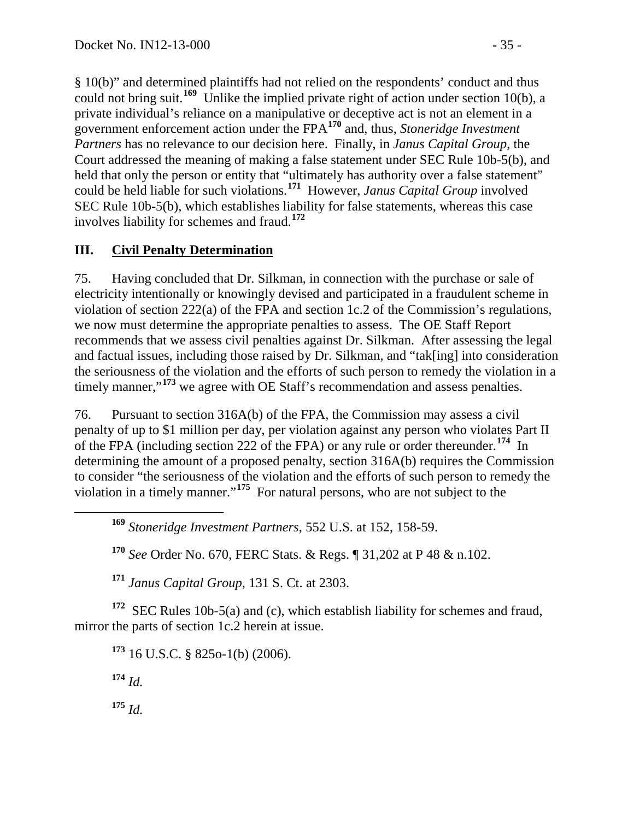§ 10(b)" and determined plaintiffs had not relied on the respondents' conduct and thus could not bring suit.**[169](#page-34-0)** Unlike the implied private right of action under section 10(b), a private individual's reliance on a manipulative or deceptive act is not an element in a government enforcement action under the FPA**[170](#page-34-1)** and, thus, *Stoneridge Investment Partners* has no relevance to our decision here. Finally, in *Janus Capital Group*, the Court addressed the meaning of making a false statement under SEC Rule 10b-5(b), and held that only the person or entity that "ultimately has authority over a false statement" could be held liable for such violations. **[171](#page-34-2)** However, *Janus Capital Group* involved SEC Rule 10b-5(b), which establishes liability for false statements, whereas this case involves liability for schemes and fraud.**[172](#page-34-3)**

## **III. Civil Penalty Determination**

75. Having concluded that Dr. Silkman, in connection with the purchase or sale of electricity intentionally or knowingly devised and participated in a fraudulent scheme in violation of section 222(a) of the FPA and section 1c.2 of the Commission's regulations, we now must determine the appropriate penalties to assess. The OE Staff Report recommends that we assess civil penalties against Dr. Silkman. After assessing the legal and factual issues, including those raised by Dr. Silkman, and "tak[ing] into consideration the seriousness of the violation and the efforts of such person to remedy the violation in a timely manner,"<sup>[173](#page-34-4)</sup> we agree with OE Staff's recommendation and assess penalties.

76. Pursuant to section 316A(b) of the FPA, the Commission may assess a civil penalty of up to \$1 million per day, per violation against any person who violates Part II of the FPA (including section 222 of the FPA) or any rule or order thereunder. **[174](#page-34-5)** In determining the amount of a proposed penalty, section 316A(b) requires the Commission to consider "the seriousness of the violation and the efforts of such person to remedy the violation in a timely manner."**[175](#page-34-6)** For natural persons, who are not subject to the

**<sup>169</sup>** *Stoneridge Investment Partners*, 552 U.S. at 152, 158-59.

**<sup>170</sup>** *See* Order No. 670, FERC Stats. & Regs. ¶ 31,202 at P 48 & n.102.

**<sup>171</sup>** *Janus Capital Group*, 131 S. Ct. at 2303.

<span id="page-34-5"></span><span id="page-34-4"></span><span id="page-34-3"></span><span id="page-34-2"></span><span id="page-34-1"></span><span id="page-34-0"></span>**<sup>172</sup>** SEC Rules 10b-5(a) and (c), which establish liability for schemes and fraud, mirror the parts of section 1c.2 herein at issue.

<span id="page-34-6"></span>**<sup>173</sup>** 16 U.S.C. § 825o-1(b) (2006). **<sup>174</sup>** *Id.* **<sup>175</sup>** *Id.*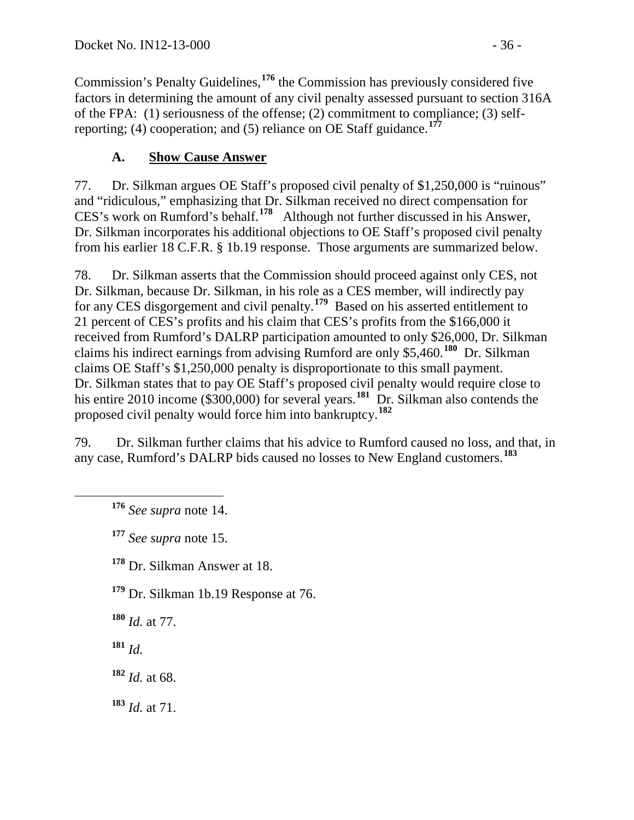Commission's Penalty Guidelines,**[176](#page-35-0)** the Commission has previously considered five factors in determining the amount of any civil penalty assessed pursuant to section 316A of the FPA: (1) seriousness of the offense; (2) commitment to compliance; (3) selfreporting; (4) cooperation; and (5) reliance on OE Staff guidance.**[177](#page-35-1)**

# **A. Show Cause Answer**

77. Dr. Silkman argues OE Staff's proposed civil penalty of \$1,250,000 is "ruinous" and "ridiculous," emphasizing that Dr. Silkman received no direct compensation for CES's work on Rumford's behalf.**[178](#page-35-2)** Although not further discussed in his Answer, Dr. Silkman incorporates his additional objections to OE Staff's proposed civil penalty from his earlier 18 C.F.R. § 1b.19 response. Those arguments are summarized below.

78. Dr. Silkman asserts that the Commission should proceed against only CES, not Dr. Silkman, because Dr. Silkman, in his role as a CES member, will indirectly pay for any CES disgorgement and civil penalty.**[179](#page-35-3)** Based on his asserted entitlement to 21 percent of CES's profits and his claim that CES's profits from the \$166,000 it received from Rumford's DALRP participation amounted to only \$26,000, Dr. Silkman claims his indirect earnings from advising Rumford are only \$5,460.**[180](#page-35-4)** Dr. Silkman claims OE Staff's \$1,250,000 penalty is disproportionate to this small payment. Dr. Silkman states that to pay OE Staff's proposed civil penalty would require close to his entire 2010 income (\$300,000) for several years.<sup>[181](#page-35-5)</sup> Dr. Silkman also contends the proposed civil penalty would force him into bankruptcy.**[182](#page-35-6)**

<span id="page-35-0"></span>79. Dr. Silkman further claims that his advice to Rumford caused no loss, and that, in any case, Rumford's DALRP bids caused no losses to New England customers.**[183](#page-35-7)**

**<sup>176</sup>** *See supra* note [14.](#page-3-5)

<span id="page-35-1"></span>**<sup>177</sup>** *See supra* note [15.](#page-3-6)

<span id="page-35-2"></span>**<sup>178</sup>** Dr. Silkman Answer at 18.

<span id="page-35-3"></span>**<sup>179</sup>** Dr. Silkman 1b.19 Response at 76.

<span id="page-35-4"></span>**<sup>180</sup>** *Id.* at 77.

<span id="page-35-5"></span>**<sup>181</sup>** *Id.*

<span id="page-35-6"></span>**<sup>182</sup>** *Id.* at 68.

<span id="page-35-7"></span>**<sup>183</sup>** *Id.* at 71.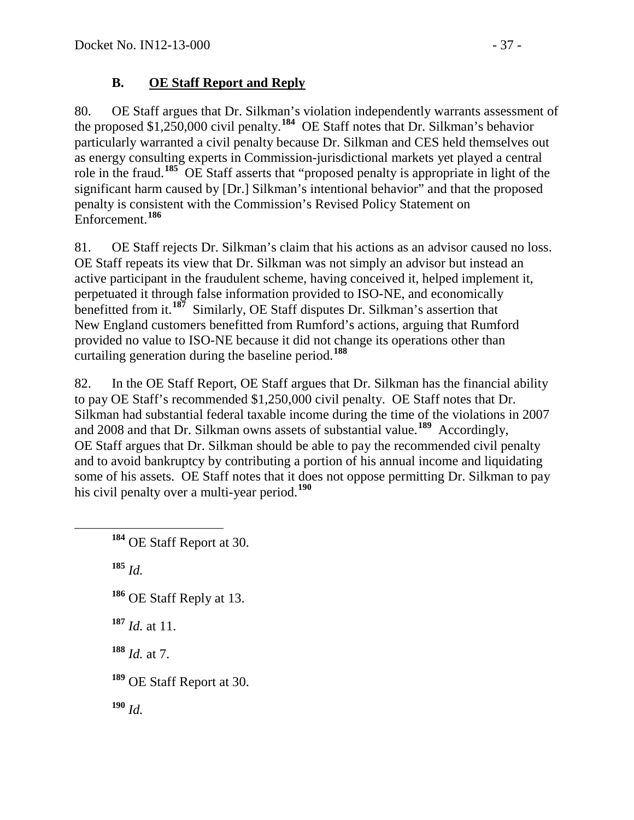## **B. OE Staff Report and Reply**

80. OE Staff argues that Dr. Silkman's violation independently warrants assessment of the proposed \$1,250,000 civil penalty.**[184](#page-36-0)** OE Staff notes that Dr. Silkman's behavior particularly warranted a civil penalty because Dr. Silkman and CES held themselves out as energy consulting experts in Commission-jurisdictional markets yet played a central role in the fraud.**[185](#page-36-1)** OE Staff asserts that "proposed penalty is appropriate in light of the significant harm caused by [Dr.] Silkman's intentional behavior" and that the proposed penalty is consistent with the Commission's Revised Policy Statement on Enforcement.**[186](#page-36-2)**

81. OE Staff rejects Dr. Silkman's claim that his actions as an advisor caused no loss. OE Staff repeats its view that Dr. Silkman was not simply an advisor but instead an active participant in the fraudulent scheme, having conceived it, helped implement it, perpetuated it through false information provided to ISO-NE, and economically benefitted from it.**[187](#page-36-3)** Similarly, OE Staff disputes Dr. Silkman's assertion that New England customers benefitted from Rumford's actions, arguing that Rumford provided no value to ISO-NE because it did not change its operations other than curtailing generation during the baseline period.**[188](#page-36-4)**

82. In the OE Staff Report, OE Staff argues that Dr. Silkman has the financial ability to pay OE Staff's recommended \$1,250,000 civil penalty. OE Staff notes that Dr. Silkman had substantial federal taxable income during the time of the violations in 2007 and 2008 and that Dr. Silkman owns assets of substantial value.**[189](#page-36-5)** Accordingly, OE Staff argues that Dr. Silkman should be able to pay the recommended civil penalty and to avoid bankruptcy by contributing a portion of his annual income and liquidating some of his assets. OE Staff notes that it does not oppose permitting Dr. Silkman to pay his civil penalty over a multi-year period.**[190](#page-36-6)**

<span id="page-36-6"></span><span id="page-36-5"></span><span id="page-36-4"></span><span id="page-36-3"></span><span id="page-36-2"></span><span id="page-36-1"></span><span id="page-36-0"></span> **<sup>184</sup>** OE Staff Report at 30. **<sup>185</sup>** *Id.* **<sup>186</sup>** OE Staff Reply at 13. **<sup>187</sup>** *Id.* at 11. **<sup>188</sup>** *Id.* at 7. **<sup>189</sup>** OE Staff Report at 30. **<sup>190</sup>** *Id.*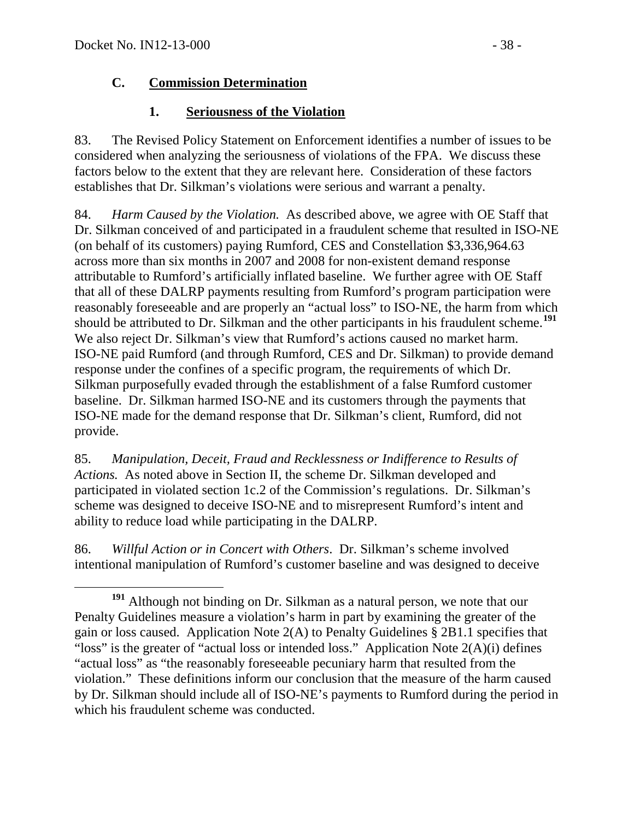### **C. Commission Determination**

## **1. Seriousness of the Violation**

83. The Revised Policy Statement on Enforcement identifies a number of issues to be considered when analyzing the seriousness of violations of the FPA. We discuss these factors below to the extent that they are relevant here. Consideration of these factors establishes that Dr. Silkman's violations were serious and warrant a penalty.

84. *Harm Caused by the Violation.* As described above, we agree with OE Staff that Dr. Silkman conceived of and participated in a fraudulent scheme that resulted in ISO-NE (on behalf of its customers) paying Rumford, CES and Constellation \$3,336,964.63 across more than six months in 2007 and 2008 for non-existent demand response attributable to Rumford's artificially inflated baseline. We further agree with OE Staff that all of these DALRP payments resulting from Rumford's program participation were reasonably foreseeable and are properly an "actual loss" to ISO-NE, the harm from which should be attributed to Dr. Silkman and the other participants in his fraudulent scheme.**[191](#page-37-0)** We also reject Dr. Silkman's view that Rumford's actions caused no market harm. ISO-NE paid Rumford (and through Rumford, CES and Dr. Silkman) to provide demand response under the confines of a specific program, the requirements of which Dr. Silkman purposefully evaded through the establishment of a false Rumford customer baseline. Dr. Silkman harmed ISO-NE and its customers through the payments that ISO-NE made for the demand response that Dr. Silkman's client, Rumford, did not provide.

85. *Manipulation, Deceit, Fraud and Recklessness or Indifference to Results of Actions.* As noted above in Section II, the scheme Dr. Silkman developed and participated in violated section 1c.2 of the Commission's regulations. Dr. Silkman's scheme was designed to deceive ISO-NE and to misrepresent Rumford's intent and ability to reduce load while participating in the DALRP.

86. *Willful Action or in Concert with Others*. Dr. Silkman's scheme involved intentional manipulation of Rumford's customer baseline and was designed to deceive

<span id="page-37-0"></span>**<sup>191</sup>** Although not binding on Dr. Silkman as a natural person, we note that our Penalty Guidelines measure a violation's harm in part by examining the greater of the gain or loss caused. Application Note 2(A) to Penalty Guidelines § 2B1.1 specifies that "loss" is the greater of "actual loss or intended loss." Application Note  $2(A)(i)$  defines "actual loss" as "the reasonably foreseeable pecuniary harm that resulted from the violation." These definitions inform our conclusion that the measure of the harm caused by Dr. Silkman should include all of ISO-NE's payments to Rumford during the period in which his fraudulent scheme was conducted.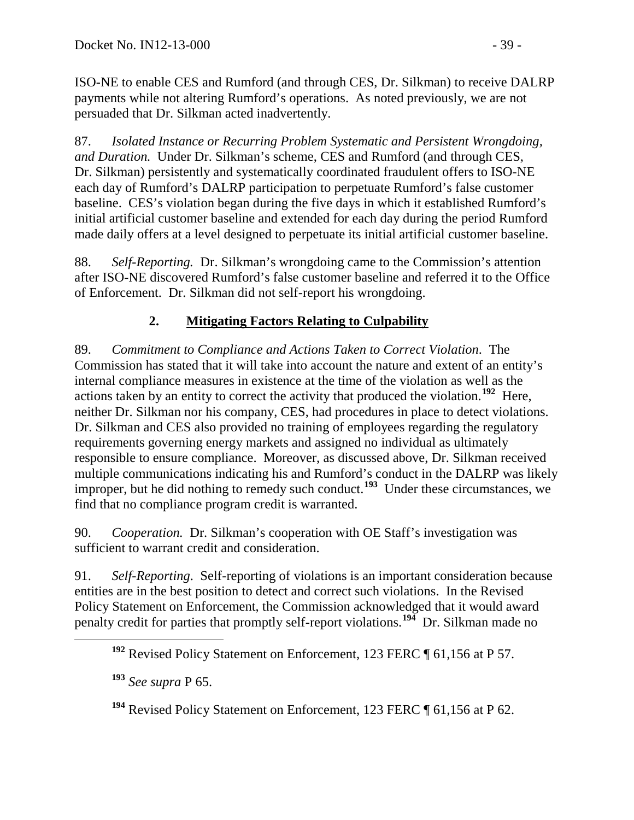ISO-NE to enable CES and Rumford (and through CES, Dr. Silkman) to receive DALRP payments while not altering Rumford's operations. As noted previously, we are not persuaded that Dr. Silkman acted inadvertently.

87. *Isolated Instance or Recurring Problem Systematic and Persistent Wrongdoing, and Duration.* Under Dr. Silkman's scheme, CES and Rumford (and through CES, Dr. Silkman) persistently and systematically coordinated fraudulent offers to ISO-NE each day of Rumford's DALRP participation to perpetuate Rumford's false customer baseline. CES's violation began during the five days in which it established Rumford's initial artificial customer baseline and extended for each day during the period Rumford made daily offers at a level designed to perpetuate its initial artificial customer baseline.

88. *Self-Reporting.* Dr. Silkman's wrongdoing came to the Commission's attention after ISO-NE discovered Rumford's false customer baseline and referred it to the Office of Enforcement. Dr. Silkman did not self-report his wrongdoing.

# **2. Mitigating Factors Relating to Culpability**

89. *Commitment to Compliance and Actions Taken to Correct Violation*. The Commission has stated that it will take into account the nature and extent of an entity's internal compliance measures in existence at the time of the violation as well as the actions taken by an entity to correct the activity that produced the violation.**[192](#page-38-0)** Here, neither Dr. Silkman nor his company, CES, had procedures in place to detect violations. Dr. Silkman and CES also provided no training of employees regarding the regulatory requirements governing energy markets and assigned no individual as ultimately responsible to ensure compliance. Moreover, as discussed above, Dr. Silkman received multiple communications indicating his and Rumford's conduct in the DALRP was likely improper, but he did nothing to remedy such conduct.<sup>[193](#page-38-1)</sup> Under these circumstances, we find that no compliance program credit is warranted.

90. *Cooperation.* Dr. Silkman's cooperation with OE Staff's investigation was sufficient to warrant credit and consideration.

<span id="page-38-0"></span>91. *Self-Reporting*. Self-reporting of violations is an important consideration because entities are in the best position to detect and correct such violations. In the Revised Policy Statement on Enforcement, the Commission acknowledged that it would award penalty credit for parties that promptly self-report violations.**[194](#page-38-2)** Dr. Silkman made no

**<sup>192</sup>** Revised Policy Statement on Enforcement, 123 FERC ¶ 61,156 at P 57.

<span id="page-38-1"></span>**<sup>193</sup>** *See supra* P [65.](#page-28-1)

<span id="page-38-2"></span>**<sup>194</sup>** Revised Policy Statement on Enforcement, 123 FERC ¶ 61,156 at P 62.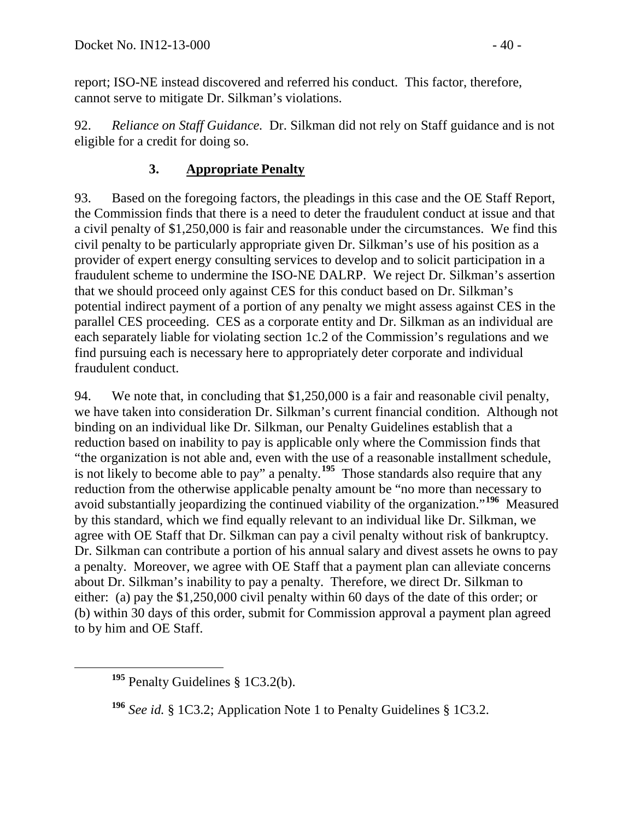report; ISO-NE instead discovered and referred his conduct. This factor, therefore, cannot serve to mitigate Dr. Silkman's violations.

92. *Reliance on Staff Guidance.* Dr. Silkman did not rely on Staff guidance and is not eligible for a credit for doing so.

### **3. Appropriate Penalty**

93. Based on the foregoing factors, the pleadings in this case and the OE Staff Report, the Commission finds that there is a need to deter the fraudulent conduct at issue and that a civil penalty of \$1,250,000 is fair and reasonable under the circumstances. We find this civil penalty to be particularly appropriate given Dr. Silkman's use of his position as a provider of expert energy consulting services to develop and to solicit participation in a fraudulent scheme to undermine the ISO-NE DALRP. We reject Dr. Silkman's assertion that we should proceed only against CES for this conduct based on Dr. Silkman's potential indirect payment of a portion of any penalty we might assess against CES in the parallel CES proceeding. CES as a corporate entity and Dr. Silkman as an individual are each separately liable for violating section 1c.2 of the Commission's regulations and we find pursuing each is necessary here to appropriately deter corporate and individual fraudulent conduct.

94. We note that, in concluding that \$1,250,000 is a fair and reasonable civil penalty, we have taken into consideration Dr. Silkman's current financial condition. Although not binding on an individual like Dr. Silkman, our Penalty Guidelines establish that a reduction based on inability to pay is applicable only where the Commission finds that "the organization is not able and, even with the use of a reasonable installment schedule, is not likely to become able to pay" a penalty.**[195](#page-39-0)** Those standards also require that any reduction from the otherwise applicable penalty amount be "no more than necessary to avoid substantially jeopardizing the continued viability of the organization."**[196](#page-39-1)** Measured by this standard, which we find equally relevant to an individual like Dr. Silkman, we agree with OE Staff that Dr. Silkman can pay a civil penalty without risk of bankruptcy. Dr. Silkman can contribute a portion of his annual salary and divest assets he owns to pay a penalty. Moreover, we agree with OE Staff that a payment plan can alleviate concerns about Dr. Silkman's inability to pay a penalty. Therefore, we direct Dr. Silkman to either: (a) pay the \$1,250,000 civil penalty within 60 days of the date of this order; or (b) within 30 days of this order, submit for Commission approval a payment plan agreed to by him and OE Staff.

<span id="page-39-0"></span>**<sup>195</sup>** Penalty Guidelines § 1C3.2(b).

<span id="page-39-1"></span>**<sup>196</sup>** *See id.* § 1C3.2; Application Note 1 to Penalty Guidelines § 1C3.2.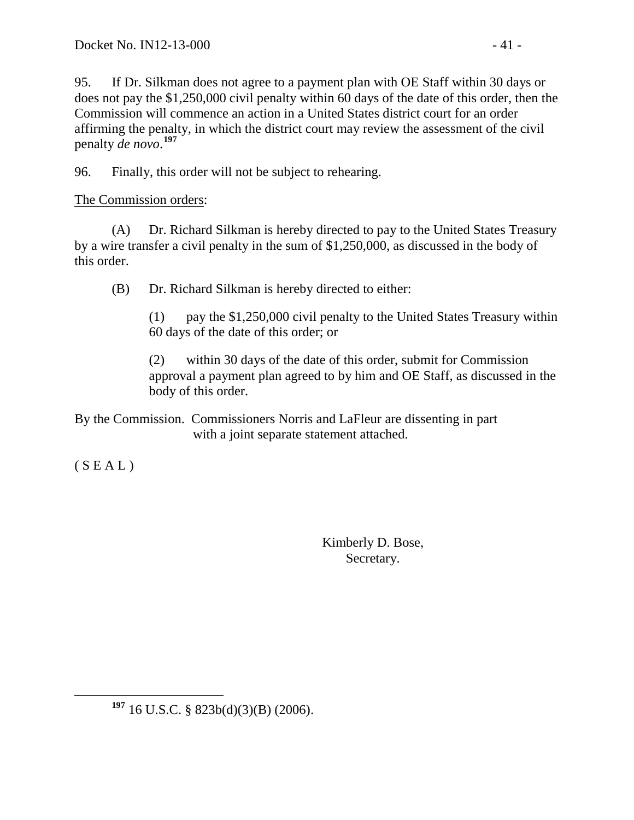95. If Dr. Silkman does not agree to a payment plan with OE Staff within 30 days or does not pay the \$1,250,000 civil penalty within 60 days of the date of this order, then the Commission will commence an action in a United States district court for an order affirming the penalty, in which the district court may review the assessment of the civil penalty *de novo*. **[197](#page-40-0)**

96. Finally, this order will not be subject to rehearing.

The Commission orders:

(A) Dr. Richard Silkman is hereby directed to pay to the United States Treasury by a wire transfer a civil penalty in the sum of \$1,250,000, as discussed in the body of this order.

(B) Dr. Richard Silkman is hereby directed to either:

(1) pay the \$1,250,000 civil penalty to the United States Treasury within 60 days of the date of this order; or

(2) within 30 days of the date of this order, submit for Commission approval a payment plan agreed to by him and OE Staff, as discussed in the body of this order.

By the Commission. Commissioners Norris and LaFleur are dissenting in part with a joint separate statement attached.

 $(S E A L)$ 

Kimberly D. Bose, Secretary.

<span id="page-40-0"></span>**<sup>197</sup>** 16 U.S.C. § 823b(d)(3)(B) (2006).